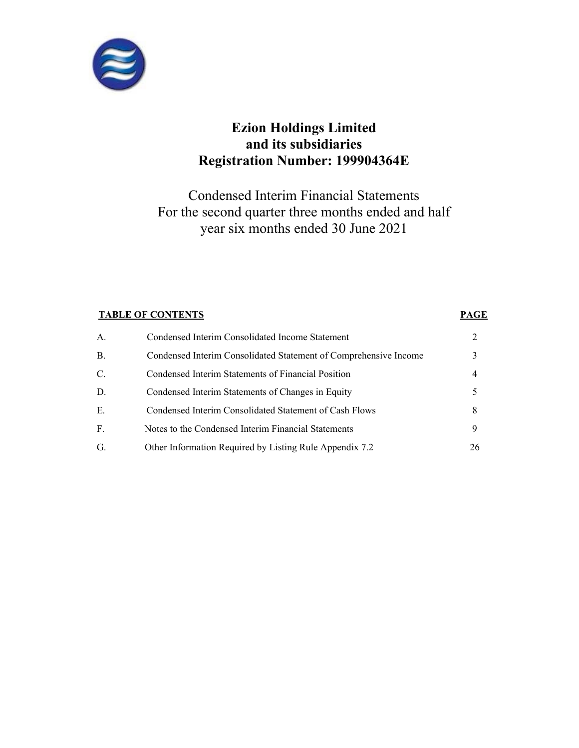

Condensed Interim Financial Statements For the second quarter three months ended and half year six months ended 30 June 2021

# **TABLE OF CONTENTS** PAGE A. Condensed Interim Consolidated Income Statement 2 B. Condensed Interim Consolidated Statement of Comprehensive Income 3 C. Condensed Interim Statements of Financial Position 4 D. Condensed Interim Statements of Changes in Equity 5 E. Condensed Interim Consolidated Statement of Cash Flows 8<br>
F. Notes to the Condensed Interim Financial Statements 9 Notes to the Condensed Interim Financial Statements G. Other Information Required by Listing Rule Appendix 7.2 26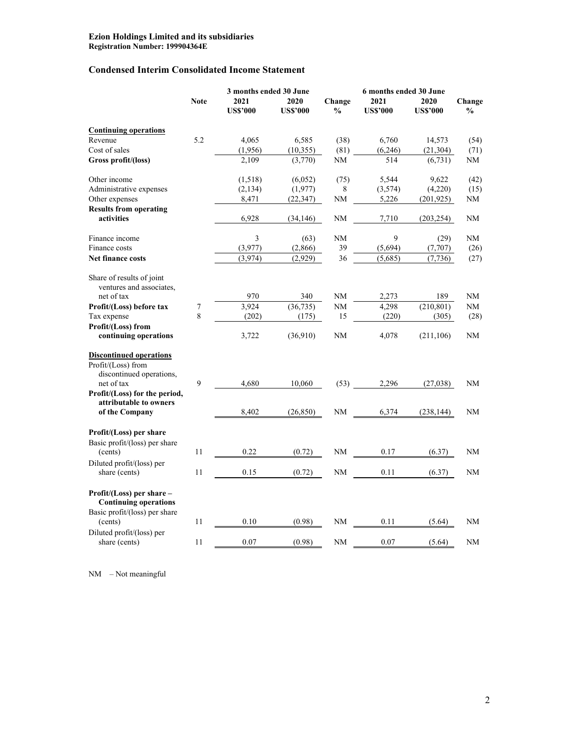# **Condensed Interim Consolidated Income Statement**

|                                                               |             | 3 months ended 30 June |                 |               | 6 months ended 30 June |                 |                |
|---------------------------------------------------------------|-------------|------------------------|-----------------|---------------|------------------------|-----------------|----------------|
|                                                               | <b>Note</b> | 2021                   | 2020            | Change        | 2021                   | 2020            | Change         |
|                                                               |             | <b>US\$'000</b>        | <b>US\$'000</b> | $\frac{0}{0}$ | <b>US\$'000</b>        | <b>US\$'000</b> | $\frac{6}{10}$ |
| <b>Continuing operations</b>                                  |             |                        |                 |               |                        |                 |                |
| Revenue                                                       | 5.2         | 4.065                  | 6,585           | (38)          | 6,760                  | 14,573          | (54)           |
| Cost of sales                                                 |             | (1,956)                | (10, 355)       | (81)          | (6,246)                | (21, 304)       | (71)           |
| Gross profit/(loss)                                           |             | 2,109                  | (3,770)         | NΜ            | 514                    | (6, 731)        | NΜ             |
| Other income                                                  |             | (1,518)                | (6,052)         | (75)          | 5,544                  | 9,622           | (42)           |
| Administrative expenses                                       |             | (2, 134)               | (1,977)         | 8             | (3,574)                | (4,220)         | (15)           |
| Other expenses                                                |             | 8,471                  | (22, 347)       | NM            | 5,226                  | (201, 925)      | NΜ             |
| <b>Results from operating</b>                                 |             |                        |                 |               |                        |                 |                |
| activities                                                    |             | 6,928                  | (34, 146)       | NM            | 7,710                  | (203, 254)      | NΜ             |
| Finance income                                                |             | 3                      | (63)            | <b>NM</b>     | 9                      | (29)            | NM             |
| Finance costs                                                 |             | (3,977)                | (2,866)         | 39            | (5,694)                | (7,707)         | (26)           |
| <b>Net finance costs</b>                                      |             | (3,974)                | (2,929)         | 36            | (5,685)                | (7, 736)        | (27)           |
| Share of results of joint<br>ventures and associates,         |             |                        |                 |               |                        |                 |                |
| net of tax                                                    |             | 970                    | 340             | NΜ            | 2,273                  | 189             | NΜ             |
| Profit/(Loss) before tax                                      | 7           | 3,924                  | (36, 735)       | NM            | 4,298                  | (210, 801)      | NM             |
| Tax expense                                                   | 8           | (202)                  | (175)           | 15            | (220)                  | (305)           | (28)           |
| Profit/(Loss) from<br>continuing operations                   |             | 3,722                  | (36,910)        | NM            | 4,078                  | (211, 106)      | NM             |
| <b>Discontinued operations</b>                                |             |                        |                 |               |                        |                 |                |
| Profit/(Loss) from<br>discontinued operations,                |             |                        |                 |               |                        |                 |                |
| net of tax                                                    | 9           | 4,680                  | 10,060          | (53)          | 2,296                  | (27,038)        | NM             |
| Profit/(Loss) for the period,                                 |             |                        |                 |               |                        |                 |                |
| attributable to owners<br>of the Company                      |             | 8,402                  | (26, 850)       | NM            | 6,374                  | (238, 144)      | NM             |
| Profit/(Loss) per share                                       |             |                        |                 |               |                        |                 |                |
| Basic profit/(loss) per share                                 |             |                        |                 |               |                        |                 |                |
| (cents)                                                       | 11          | 0.22                   | (0.72)          | NM            | 0.17                   | (6.37)          | NM             |
| Diluted profit/(loss) per                                     |             |                        |                 |               |                        |                 |                |
| share (cents)                                                 | 11          | 0.15                   | (0.72)          | <b>NM</b>     | 0.11                   | (6.37)          | NM             |
| $Profit/(Loss)$ per share $-$<br><b>Continuing operations</b> |             |                        |                 |               |                        |                 |                |
| Basic profit/(loss) per share<br>(cents)                      | 11          | 0.10                   | (0.98)          | NM            | 0.11                   | (5.64)          | NM             |
| Diluted profit/(loss) per                                     |             |                        |                 |               |                        |                 |                |
| share (cents)                                                 | 11          | 0.07                   | (0.98)          | NM            | 0.07                   | (5.64)          | NM             |

NM – Not meaningful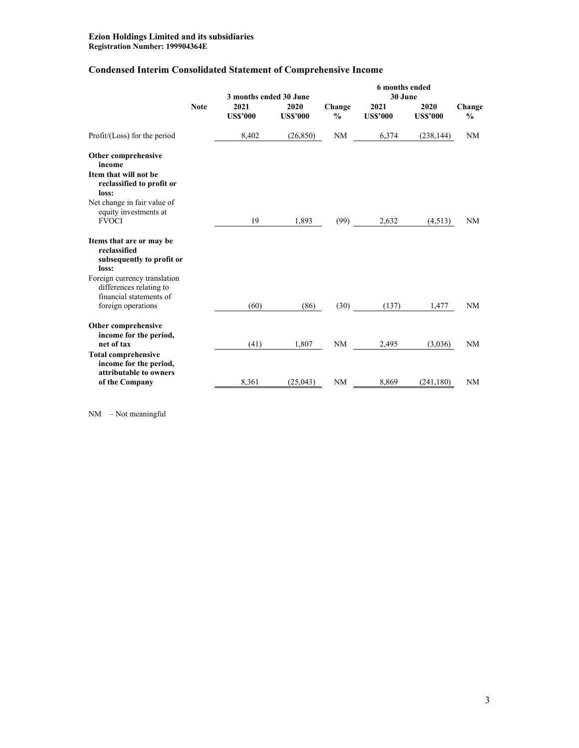# **Condensed Interim Consolidated Statement of Comprehensive Income**

|                                                                                                          |             | 3 months ended 30 June  |                         |                         | 6 months ended<br>30 June |                         |                         |  |
|----------------------------------------------------------------------------------------------------------|-------------|-------------------------|-------------------------|-------------------------|---------------------------|-------------------------|-------------------------|--|
|                                                                                                          | <b>Note</b> | 2021<br><b>US\$'000</b> | 2020<br><b>US\$'000</b> | Change<br>$\frac{0}{0}$ | 2021<br><b>US\$'000</b>   | 2020<br><b>US\$'000</b> | Change<br>$\frac{0}{0}$ |  |
| Profit/(Loss) for the period                                                                             |             | 8,402                   | (26, 850)               | <b>NM</b>               | 6,374                     | (238, 144)              | NM                      |  |
| Other comprehensive<br>income<br>Item that will not be<br>reclassified to profit or<br>loss:             |             |                         |                         |                         |                           |                         |                         |  |
| Net change in fair value of<br>equity investments at<br><b>FVOCI</b>                                     |             | 19                      | 1,893                   | (99)                    | 2,632                     | (4,513)                 | NM                      |  |
| Items that are or may be<br>reclassified<br>subsequently to profit or<br>loss:                           |             |                         |                         |                         |                           |                         |                         |  |
| Foreign currency translation<br>differences relating to<br>financial statements of<br>foreign operations |             | (60)                    | (86)                    |                         | (30)<br>(137)             | 1,477                   | NM                      |  |
| Other comprehensive<br>income for the period,<br>net of tax<br><b>Total comprehensive</b>                |             | (41)                    | 1,807                   | NM                      | 2,495                     | (3,036)                 | NM                      |  |
| income for the period,<br>attributable to owners<br>of the Company                                       |             | 8,361                   | (25,043)                | NM                      | 8,869                     | (241, 180)              | NM                      |  |

NM – Not meaningful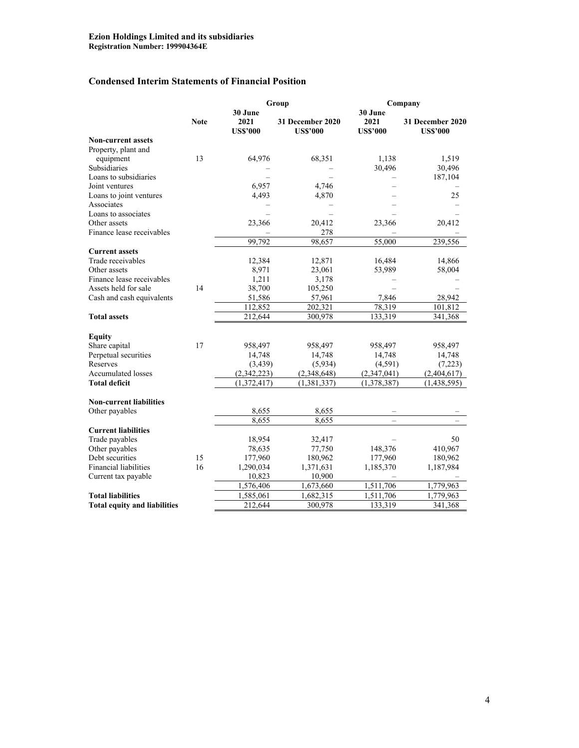# **Condensed Interim Statements of Financial Position**

|                                     |             | Group           |                  | Company         |                  |  |  |
|-------------------------------------|-------------|-----------------|------------------|-----------------|------------------|--|--|
|                                     | <b>Note</b> | 30 June<br>2021 | 31 December 2020 | 30 June<br>2021 | 31 December 2020 |  |  |
| <b>Non-current assets</b>           |             | <b>US\$'000</b> | <b>US\$'000</b>  | <b>US\$'000</b> | <b>US\$'000</b>  |  |  |
| Property, plant and                 |             |                 |                  |                 |                  |  |  |
| equipment                           | 13          | 64,976          | 68,351           | 1,138           | 1,519            |  |  |
| Subsidiaries                        |             |                 |                  | 30,496          | 30,496           |  |  |
| Loans to subsidiaries               |             |                 |                  |                 | 187,104          |  |  |
| Joint ventures                      |             | 6,957           | 4,746            |                 |                  |  |  |
| Loans to joint ventures             |             | 4,493           | 4,870            |                 | 25               |  |  |
| Associates                          |             |                 |                  |                 |                  |  |  |
| Loans to associates                 |             |                 |                  |                 |                  |  |  |
| Other assets                        |             | 23,366          | 20,412           | 23,366          | 20,412           |  |  |
| Finance lease receivables           |             |                 | 278              |                 |                  |  |  |
|                                     |             | 99,792          | 98,657           | 55,000          | 239,556          |  |  |
| <b>Current assets</b>               |             |                 |                  |                 |                  |  |  |
| Trade receivables                   |             | 12,384          | 12,871           | 16,484          | 14,866           |  |  |
| Other assets                        |             | 8,971           | 23,061           | 53,989          | 58,004           |  |  |
| Finance lease receivables           |             | 1,211           | 3,178            |                 |                  |  |  |
| Assets held for sale                | 14          | 38,700          | 105,250          |                 |                  |  |  |
| Cash and cash equivalents           |             | 51,586          | 57,961           | 7,846           | 28,942           |  |  |
|                                     |             | 112,852         | 202,321          | 78,319          | 101,812          |  |  |
| <b>Total assets</b>                 |             | 212,644         | 300,978          | 133,319         | 341,368          |  |  |
|                                     |             |                 |                  |                 |                  |  |  |
| <b>Equity</b>                       |             |                 |                  |                 |                  |  |  |
| Share capital                       | 17          | 958,497         | 958,497          | 958,497         | 958,497          |  |  |
| Perpetual securities                |             | 14,748          | 14,748           | 14,748          | 14,748           |  |  |
| Reserves                            |             | (3, 439)        | (5,934)          | (4,591)         | (7,223)          |  |  |
| <b>Accumulated losses</b>           |             | (2,342,223)     | (2,348,648)      | (2,347,041)     | (2,404,617)      |  |  |
| <b>Total deficit</b>                |             | (1,372,417)     | (1, 381, 337)    | (1,378,387)     | (1,438,595)      |  |  |
|                                     |             |                 |                  |                 |                  |  |  |
| <b>Non-current liabilities</b>      |             |                 |                  |                 |                  |  |  |
| Other payables                      |             | 8,655           | 8,655            |                 |                  |  |  |
|                                     |             | 8,655           | 8,655            |                 |                  |  |  |
| <b>Current liabilities</b>          |             |                 |                  |                 |                  |  |  |
| Trade payables                      |             | 18,954          | 32,417           |                 | 50               |  |  |
| Other payables                      |             | 78,635          | 77,750           | 148,376         | 410,967          |  |  |
| Debt securities                     | 15          | 177,960         | 180,962          | 177,960         | 180,962          |  |  |
| <b>Financial liabilities</b>        | 16          | 1,290,034       | 1,371,631        | 1,185,370       | 1,187,984        |  |  |
| Current tax payable                 |             | 10,823          | 10,900           |                 |                  |  |  |
|                                     |             | 1,576,406       | 1,673,660        | 1,511,706       | 1,779,963        |  |  |
| <b>Total liabilities</b>            |             | 1,585,061       | 1,682,315        | 1,511,706       | 1,779,963        |  |  |
| <b>Total equity and liabilities</b> |             | 212,644         | 300,978          | 133,319         | 341,368          |  |  |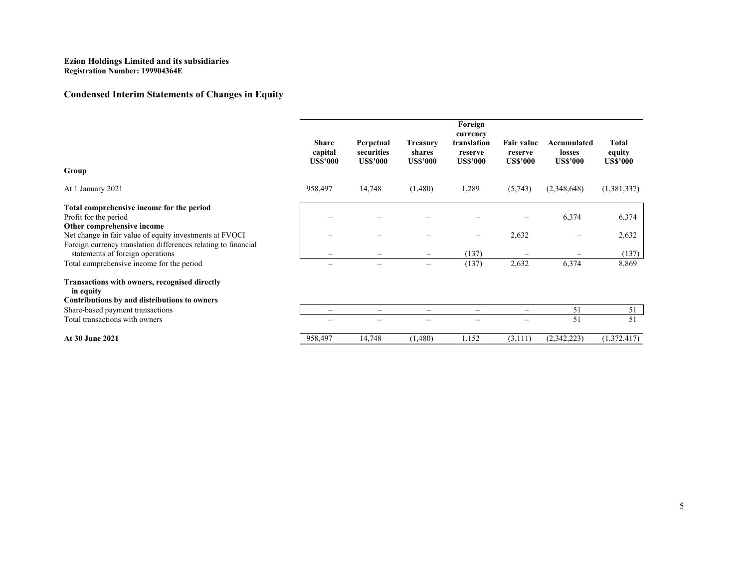# **Condensed Interim Statements of Changes in Equity**

| Group                                                                                                                                                                                                                                                                                                          | <b>Share</b><br>capital<br><b>US\$'000</b> | Perpetual<br>securities<br><b>US\$'000</b> | <b>Treasury</b><br>shares<br><b>US\$'000</b> | Foreign<br>currency<br>translation<br>reserve<br><b>US\$'000</b> | <b>Fair value</b><br>reserve<br><b>US\$'000</b> | Accumulated<br>losses<br><b>US\$'000</b> | Total<br>equity<br><b>US\$'000</b> |
|----------------------------------------------------------------------------------------------------------------------------------------------------------------------------------------------------------------------------------------------------------------------------------------------------------------|--------------------------------------------|--------------------------------------------|----------------------------------------------|------------------------------------------------------------------|-------------------------------------------------|------------------------------------------|------------------------------------|
| At 1 January 2021                                                                                                                                                                                                                                                                                              | 958,497                                    | 14,748                                     | (1,480)                                      | 1,289                                                            | (5,743)                                         | (2,348,648)                              | (1,381,337)                        |
| Total comprehensive income for the period<br>Profit for the period<br>Other comprehensive income<br>Net change in fair value of equity investments at FVOCI<br>Foreign currency translation differences relating to financial<br>statements of foreign operations<br>Total comprehensive income for the period | $\qquad \qquad$                            | $\overline{\phantom{m}}$                   | $\overline{\phantom{m}}$                     | $\overline{\phantom{m}}$<br>(137)<br>(137)                       | 2,632<br>2,632                                  | 6,374<br>6,374                           | 6,374<br>2,632<br>(137)<br>8,869   |
| <b>Transactions with owners, recognised directly</b><br>in equity<br>Contributions by and distributions to owners                                                                                                                                                                                              |                                            |                                            |                                              |                                                                  |                                                 |                                          |                                    |
| Share-based payment transactions                                                                                                                                                                                                                                                                               | $\overline{\phantom{0}}$                   | $\overline{\phantom{m}}$                   | $\qquad \qquad$                              | $\qquad \qquad$                                                  | $\overline{\phantom{0}}$                        | 51                                       | 51                                 |
| Total transactions with owners                                                                                                                                                                                                                                                                                 |                                            |                                            |                                              |                                                                  |                                                 | 51                                       | 51                                 |
| <b>At 30 June 2021</b>                                                                                                                                                                                                                                                                                         | 958,497                                    | 14,748                                     | (1,480)                                      | 1,152                                                            | (3,111)                                         | (2,342,223)                              | (1,372,417)                        |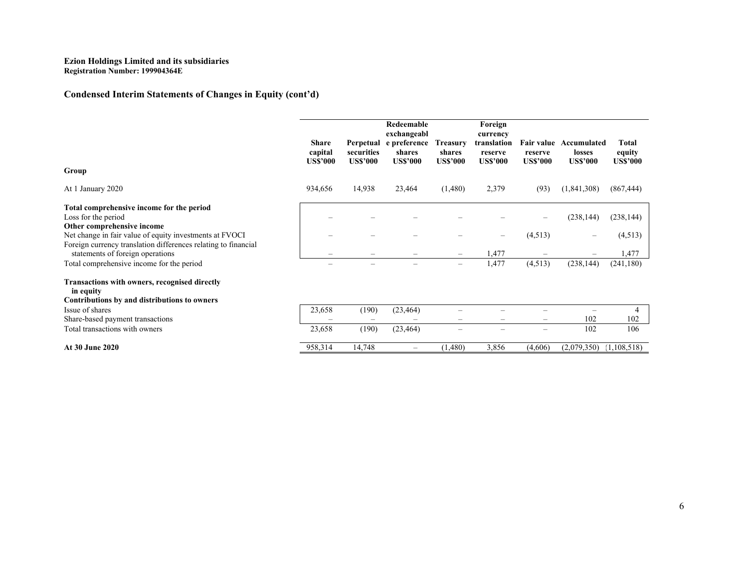# **Condensed Interim Statements of Changes in Equity (cont'd)**

|                                                                                                    | <b>Share</b>               |                               | Redeemable<br>exchangeabl<br>Perpetual e preference | <b>Treasury</b>           | Foreign<br>currency<br>translation |                            | Fair value Accumulated    | Total                     |
|----------------------------------------------------------------------------------------------------|----------------------------|-------------------------------|-----------------------------------------------------|---------------------------|------------------------------------|----------------------------|---------------------------|---------------------------|
|                                                                                                    | capital<br><b>US\$'000</b> | securities<br><b>US\$'000</b> | shares<br><b>US\$'000</b>                           | shares<br><b>US\$'000</b> | reserve<br><b>US\$'000</b>         | reserve<br><b>US\$'000</b> | losses<br><b>US\$'000</b> | equity<br><b>US\$'000</b> |
| Group                                                                                              |                            |                               |                                                     |                           |                                    |                            |                           |                           |
| At 1 January 2020                                                                                  | 934,656                    | 14,938                        | 23,464                                              | (1,480)                   | 2,379                              | (93)                       | (1,841,308)               | (867, 444)                |
| Total comprehensive income for the period                                                          |                            |                               |                                                     |                           |                                    |                            |                           |                           |
| Loss for the period                                                                                |                            |                               |                                                     |                           |                                    |                            | (238, 144)                | (238, 144)                |
| Other comprehensive income                                                                         |                            |                               |                                                     |                           |                                    |                            |                           |                           |
| Net change in fair value of equity investments at FVOCI                                            |                            |                               |                                                     |                           | -                                  | (4,513)                    |                           | (4,513)                   |
| Foreign currency translation differences relating to financial<br>statements of foreign operations |                            |                               |                                                     |                           | 1,477                              |                            |                           | 1,477                     |
| Total comprehensive income for the period                                                          |                            | $\overline{\phantom{0}}$      | -                                                   | $\overline{\phantom{m}}$  | 1,477                              | (4,513)                    | (238, 144)                | (241, 180)                |
| Transactions with owners, recognised directly<br>in equity                                         |                            |                               |                                                     |                           |                                    |                            |                           |                           |
| Contributions by and distributions to owners                                                       |                            |                               |                                                     |                           |                                    |                            |                           |                           |
| Issue of shares                                                                                    | 23,658                     | (190)                         | (23, 464)                                           |                           |                                    |                            |                           | 4                         |
| Share-based payment transactions                                                                   |                            |                               |                                                     |                           | -                                  | $\qquad \qquad$            | 102                       | 102                       |
| Total transactions with owners                                                                     | 23,658                     | (190)                         | (23, 464)                                           |                           |                                    | $\qquad \qquad$            | 102                       | 106                       |
| <b>At 30 June 2020</b>                                                                             | 958,314                    | 14,748                        |                                                     | (1,480)                   | 3,856                              | (4,606)                    | (2,079,350)               | (1,108,518)               |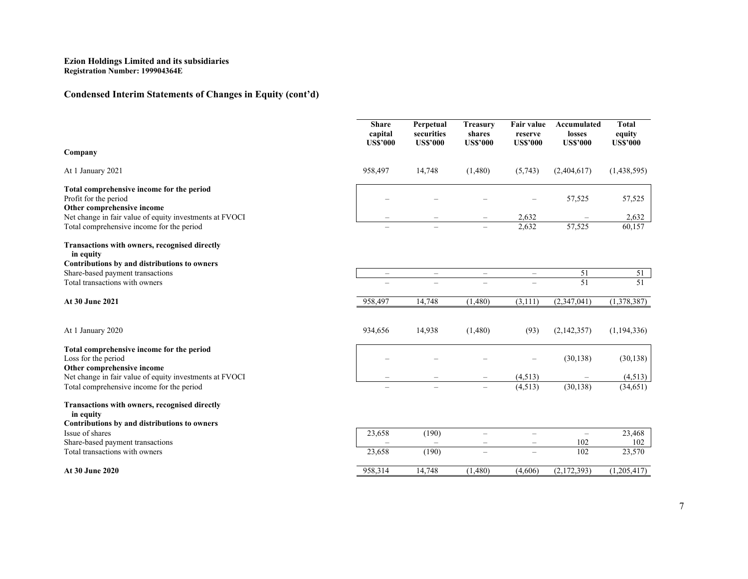# **Condensed Interim Statements of Changes in Equity (cont'd)**

|                                                                                       | <b>Share</b><br>capital<br><b>US\$'000</b> | Perpetual<br>securities<br><b>US\$'000</b> | <b>Treasury</b><br>shares<br><b>US\$'000</b> | Fair value<br>reserve<br><b>US\$'000</b> | Accumulated<br>losses<br><b>US\$'000</b> | <b>Total</b><br>equity<br><b>US\$'000</b> |
|---------------------------------------------------------------------------------------|--------------------------------------------|--------------------------------------------|----------------------------------------------|------------------------------------------|------------------------------------------|-------------------------------------------|
| Company                                                                               |                                            |                                            |                                              |                                          |                                          |                                           |
| At 1 January 2021                                                                     | 958,497                                    | 14,748                                     | (1,480)                                      | (5,743)                                  | (2,404,617)                              | (1,438,595)                               |
| Total comprehensive income for the period                                             |                                            |                                            |                                              |                                          |                                          |                                           |
| Profit for the period                                                                 |                                            |                                            |                                              |                                          | 57,525                                   | 57,525                                    |
| Other comprehensive income<br>Net change in fair value of equity investments at FVOCI |                                            |                                            |                                              | 2,632                                    |                                          | 2,632                                     |
| Total comprehensive income for the period                                             |                                            |                                            |                                              | 2,632                                    | 57,525                                   | 60,157                                    |
| <b>Transactions with owners, recognised directly</b><br>in equity                     |                                            |                                            |                                              |                                          |                                          |                                           |
| Contributions by and distributions to owners                                          |                                            |                                            |                                              |                                          |                                          |                                           |
| Share-based payment transactions                                                      | $\overline{\phantom{m}}$                   | $\overline{\phantom{m}}$                   | $\equiv$                                     | $\overline{\phantom{m}}$                 | 51                                       | $\frac{51}{51}$                           |
| Total transactions with owners                                                        |                                            | $\overline{\phantom{0}}$                   | $\overline{\phantom{m}}$                     |                                          | 51                                       |                                           |
| At 30 June 2021                                                                       | 958,497                                    | 14,748                                     | (1,480)                                      | (3,111)                                  | (2,347,041)                              | (1,378,387)                               |
| At 1 January 2020                                                                     | 934,656                                    | 14,938                                     | (1,480)                                      | (93)                                     | (2,142,357)                              | (1, 194, 336)                             |
| Total comprehensive income for the period                                             |                                            |                                            |                                              |                                          |                                          |                                           |
| Loss for the period                                                                   |                                            |                                            |                                              |                                          | (30, 138)                                | (30, 138)                                 |
| Other comprehensive income                                                            |                                            |                                            |                                              |                                          |                                          |                                           |
| Net change in fair value of equity investments at FVOCI                               |                                            |                                            |                                              | (4, 513)                                 |                                          | (4,513)                                   |
| Total comprehensive income for the period                                             |                                            |                                            | $\overline{\phantom{m}}$                     | (4,513)                                  | (30, 138)                                | (34, 651)                                 |
| Transactions with owners, recognised directly<br>in equity                            |                                            |                                            |                                              |                                          |                                          |                                           |
| Contributions by and distributions to owners                                          |                                            |                                            |                                              |                                          |                                          |                                           |
| Issue of shares                                                                       | 23,658                                     | (190)                                      | $\overline{\phantom{0}}$                     | $\equiv$                                 | $\qquad \qquad -$                        | 23,468                                    |
| Share-based payment transactions                                                      |                                            |                                            | $\qquad \qquad -$                            | $\qquad \qquad -$                        | 102                                      | 102                                       |
| Total transactions with owners                                                        | 23,658                                     | (190)                                      | $\overline{\phantom{m}}$                     |                                          | 102                                      | 23,570                                    |
| At 30 June 2020                                                                       | 958,314                                    | 14,748                                     | (1,480)                                      | (4,606)                                  | (2,172,393)                              | (1,205,417)                               |
|                                                                                       |                                            |                                            |                                              |                                          |                                          |                                           |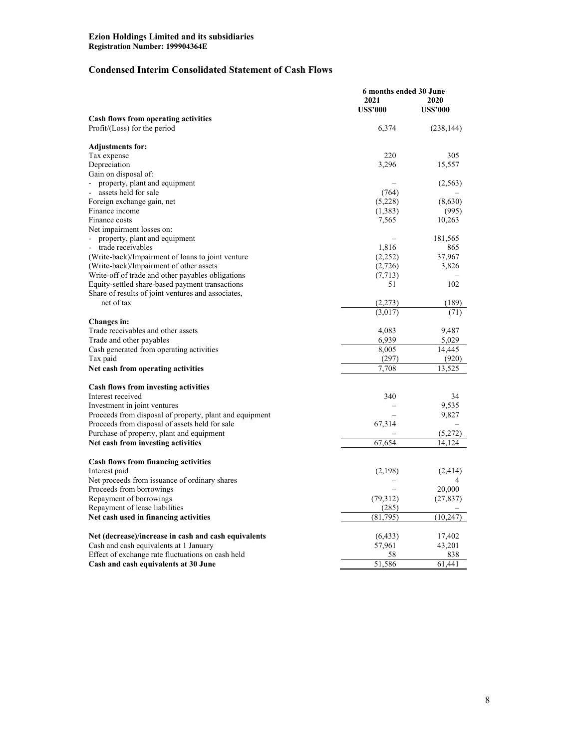# **Condensed Interim Consolidated Statement of Cash Flows**

|                                                         | 6 months ended 30 June |                 |  |
|---------------------------------------------------------|------------------------|-----------------|--|
|                                                         | 2021                   | 2020            |  |
|                                                         | <b>US\$'000</b>        | <b>US\$'000</b> |  |
| Cash flows from operating activities                    |                        |                 |  |
| Profit/(Loss) for the period                            | 6,374                  | (238, 144)      |  |
|                                                         |                        |                 |  |
| <b>Adjustments for:</b>                                 |                        |                 |  |
| Tax expense                                             | 220                    | 305             |  |
| Depreciation                                            | 3,296                  | 15,557          |  |
| Gain on disposal of:                                    |                        |                 |  |
| property, plant and equipment                           |                        | (2,563)         |  |
| assets held for sale                                    | (764)                  |                 |  |
| Foreign exchange gain, net                              | (5,228)                | (8,630)         |  |
| Finance income                                          | (1,383)                | (995)           |  |
| Finance costs                                           | 7,565                  | 10,263          |  |
| Net impairment losses on:                               |                        |                 |  |
| property, plant and equipment                           |                        | 181,565         |  |
| trade receivables                                       | 1,816                  | 865             |  |
| (Write-back)/Impairment of loans to joint venture       | (2,252)                | 37,967          |  |
| (Write-back)/Impairment of other assets                 | (2,726)                | 3,826           |  |
| Write-off of trade and other payables obligations       | (7, 713)               |                 |  |
| Equity-settled share-based payment transactions         | 51                     | 102             |  |
| Share of results of joint ventures and associates,      |                        |                 |  |
| net of tax                                              | (2,273)                | (189)           |  |
|                                                         | (3,017)                | (71)            |  |
| Changes in:                                             |                        |                 |  |
| Trade receivables and other assets                      | 4,083                  | 9,487           |  |
| Trade and other payables                                | 6,939                  | 5,029           |  |
| Cash generated from operating activities                | 8,005                  | 14,445          |  |
| Tax paid                                                | (297)                  | (920)           |  |
| Net cash from operating activities                      | 7,708                  | 13,525          |  |
|                                                         |                        |                 |  |
| <b>Cash flows from investing activities</b>             |                        |                 |  |
| Interest received                                       | 340                    | 34              |  |
| Investment in joint ventures                            |                        | 9,535           |  |
| Proceeds from disposal of property, plant and equipment |                        | 9,827           |  |
| Proceeds from disposal of assets held for sale          | 67,314                 |                 |  |
| Purchase of property, plant and equipment               |                        | (5,272)         |  |
| Net cash from investing activities                      | 67,654                 | 14,124          |  |
|                                                         |                        |                 |  |
| <b>Cash flows from financing activities</b>             |                        |                 |  |
| Interest paid                                           | (2,198)                | (2, 414)        |  |
| Net proceeds from issuance of ordinary shares           |                        | 4               |  |
| Proceeds from borrowings                                |                        | 20,000          |  |
| Repayment of borrowings                                 | (79,312)               | (27, 837)       |  |
| Repayment of lease liabilities                          | (285)                  |                 |  |
| Net cash used in financing activities                   | (81,795)               | (10, 247)       |  |
|                                                         |                        |                 |  |
| Net (decrease)/increase in cash and cash equivalents    | (6, 433)               | 17,402          |  |
| Cash and cash equivalents at 1 January                  | 57,961                 | 43,201          |  |
| Effect of exchange rate fluctuations on cash held       | 58                     | 838             |  |
| Cash and cash equivalents at 30 June                    | 51,586                 | 61,441          |  |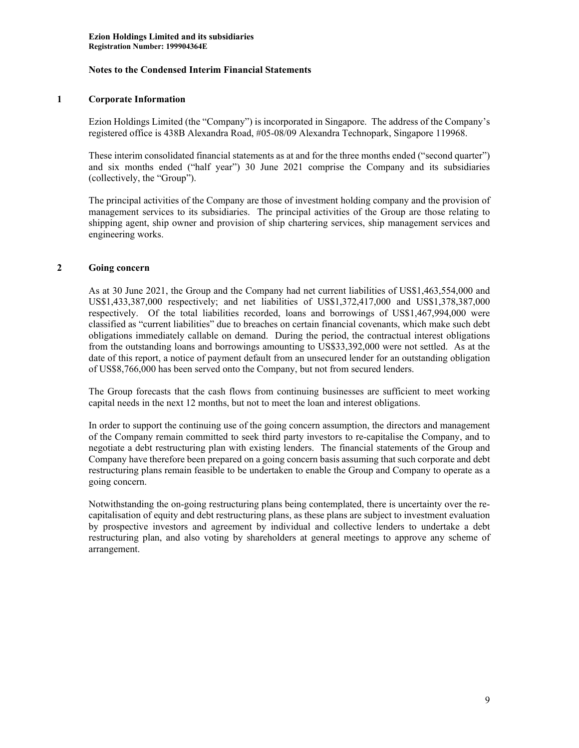# **1 Corporate Information**

Ezion Holdings Limited (the "Company") is incorporated in Singapore. The address of the Company's registered office is 438B Alexandra Road, #05-08/09 Alexandra Technopark, Singapore 119968.

These interim consolidated financial statements as at and for the three months ended ("second quarter") and six months ended ("half year") 30 June 2021 comprise the Company and its subsidiaries (collectively, the "Group").

The principal activities of the Company are those of investment holding company and the provision of management services to its subsidiaries. The principal activities of the Group are those relating to shipping agent, ship owner and provision of ship chartering services, ship management services and engineering works.

### **2 Going concern**

As at 30 June 2021, the Group and the Company had net current liabilities of US\$1,463,554,000 and US\$1,433,387,000 respectively; and net liabilities of US\$1,372,417,000 and US\$1,378,387,000 respectively. Of the total liabilities recorded, loans and borrowings of US\$1,467,994,000 were classified as "current liabilities" due to breaches on certain financial covenants, which make such debt obligations immediately callable on demand. During the period, the contractual interest obligations from the outstanding loans and borrowings amounting to US\$33,392,000 were not settled. As at the date of this report, a notice of payment default from an unsecured lender for an outstanding obligation of US\$8,766,000 has been served onto the Company, but not from secured lenders.

The Group forecasts that the cash flows from continuing businesses are sufficient to meet working capital needs in the next 12 months, but not to meet the loan and interest obligations.

In order to support the continuing use of the going concern assumption, the directors and management of the Company remain committed to seek third party investors to re-capitalise the Company, and to negotiate a debt restructuring plan with existing lenders. The financial statements of the Group and Company have therefore been prepared on a going concern basis assuming that such corporate and debt restructuring plans remain feasible to be undertaken to enable the Group and Company to operate as a going concern.

Notwithstanding the on-going restructuring plans being contemplated, there is uncertainty over the recapitalisation of equity and debt restructuring plans, as these plans are subject to investment evaluation by prospective investors and agreement by individual and collective lenders to undertake a debt restructuring plan, and also voting by shareholders at general meetings to approve any scheme of arrangement.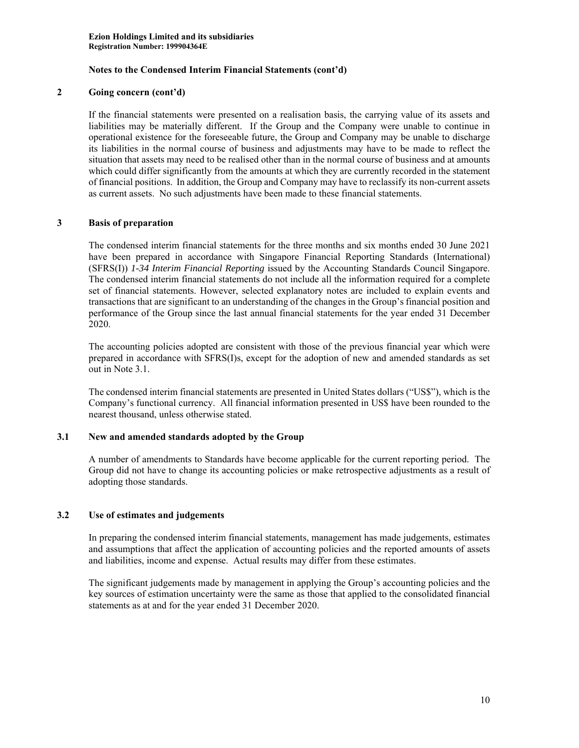### **2 Going concern (cont'd)**

If the financial statements were presented on a realisation basis, the carrying value of its assets and liabilities may be materially different. If the Group and the Company were unable to continue in operational existence for the foreseeable future, the Group and Company may be unable to discharge its liabilities in the normal course of business and adjustments may have to be made to reflect the situation that assets may need to be realised other than in the normal course of business and at amounts which could differ significantly from the amounts at which they are currently recorded in the statement of financial positions. In addition, the Group and Company may have to reclassify its non-current assets as current assets. No such adjustments have been made to these financial statements.

# **3 Basis of preparation**

The condensed interim financial statements for the three months and six months ended 30 June 2021 have been prepared in accordance with Singapore Financial Reporting Standards (International) (SFRS(I)) *1-34 Interim Financial Reporting* issued by the Accounting Standards Council Singapore. The condensed interim financial statements do not include all the information required for a complete set of financial statements. However, selected explanatory notes are included to explain events and transactions that are significant to an understanding of the changes in the Group's financial position and performance of the Group since the last annual financial statements for the year ended 31 December 2020.

The accounting policies adopted are consistent with those of the previous financial year which were prepared in accordance with SFRS(I)s, except for the adoption of new and amended standards as set out in Note 3.1.

The condensed interim financial statements are presented in United States dollars ("US\$"), which is the Company's functional currency. All financial information presented in US\$ have been rounded to the nearest thousand, unless otherwise stated.

### **3.1 New and amended standards adopted by the Group**

A number of amendments to Standards have become applicable for the current reporting period. The Group did not have to change its accounting policies or make retrospective adjustments as a result of adopting those standards.

### **3.2 Use of estimates and judgements**

In preparing the condensed interim financial statements, management has made judgements, estimates and assumptions that affect the application of accounting policies and the reported amounts of assets and liabilities, income and expense. Actual results may differ from these estimates.

The significant judgements made by management in applying the Group's accounting policies and the key sources of estimation uncertainty were the same as those that applied to the consolidated financial statements as at and for the year ended 31 December 2020.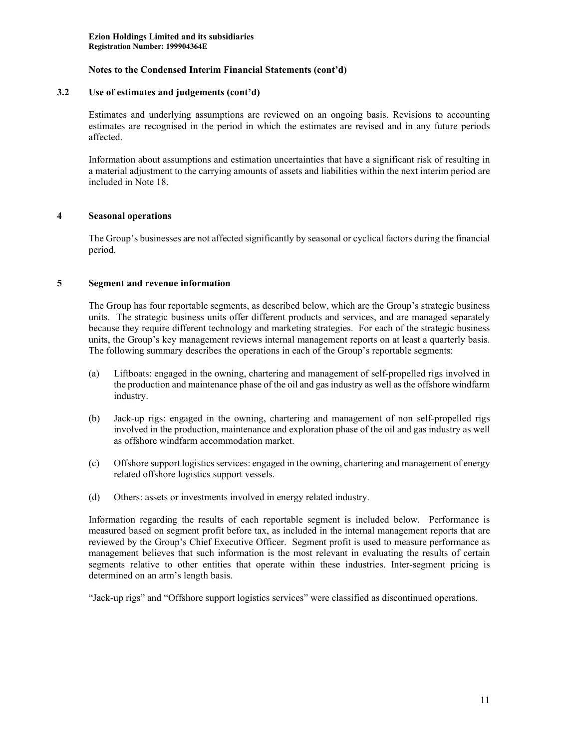#### **3.2 Use of estimates and judgements (cont'd)**

Estimates and underlying assumptions are reviewed on an ongoing basis. Revisions to accounting estimates are recognised in the period in which the estimates are revised and in any future periods affected.

Information about assumptions and estimation uncertainties that have a significant risk of resulting in a material adjustment to the carrying amounts of assets and liabilities within the next interim period are included in Note 18.

### **4 Seasonal operations**

The Group's businesses are not affected significantly by seasonal or cyclical factors during the financial period.

### **5 Segment and revenue information**

The Group has four reportable segments, as described below, which are the Group's strategic business units. The strategic business units offer different products and services, and are managed separately because they require different technology and marketing strategies. For each of the strategic business units, the Group's key management reviews internal management reports on at least a quarterly basis. The following summary describes the operations in each of the Group's reportable segments:

- (a) Liftboats: engaged in the owning, chartering and management of self-propelled rigs involved in the production and maintenance phase of the oil and gas industry as well as the offshore windfarm industry.
- (b) Jack-up rigs: engaged in the owning, chartering and management of non self-propelled rigs involved in the production, maintenance and exploration phase of the oil and gas industry as well as offshore windfarm accommodation market.
- (c) Offshore support logistics services: engaged in the owning, chartering and management of energy related offshore logistics support vessels.
- (d) Others: assets or investments involved in energy related industry.

Information regarding the results of each reportable segment is included below. Performance is measured based on segment profit before tax, as included in the internal management reports that are reviewed by the Group's Chief Executive Officer. Segment profit is used to measure performance as management believes that such information is the most relevant in evaluating the results of certain segments relative to other entities that operate within these industries. Inter-segment pricing is determined on an arm's length basis.

"Jack-up rigs" and "Offshore support logistics services" were classified as discontinued operations.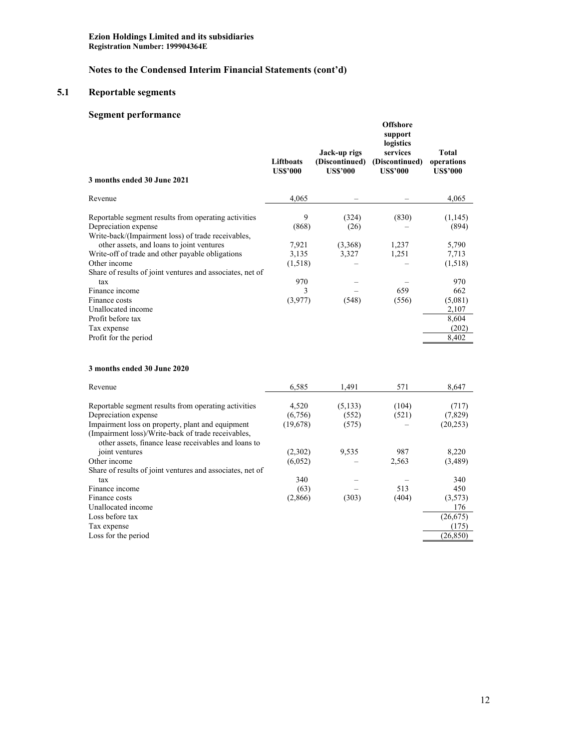# **Notes to the Condensed Interim Financial Statements (cont'd)**

# **5.1 Reportable segments**

# **Segment performance**

| 3 months ended 30 June 2021                                                                                                        | <b>Liftboats</b><br><b>US\$'000</b> | Jack-up rigs<br>(Discontinued)<br><b>US\$'000</b> | <b>Offshore</b><br>support<br>logistics<br>services<br>(Discontinued)<br><b>US\$'000</b> | <b>Total</b><br>operations<br><b>US\$'000</b> |
|------------------------------------------------------------------------------------------------------------------------------------|-------------------------------------|---------------------------------------------------|------------------------------------------------------------------------------------------|-----------------------------------------------|
| Revenue                                                                                                                            | 4,065                               |                                                   |                                                                                          | 4,065                                         |
| Reportable segment results from operating activities<br>Depreciation expense<br>Write-back/(Impairment loss) of trade receivables, | 9<br>(868)                          | (324)<br>(26)                                     | (830)                                                                                    | (1,145)<br>(894)                              |
| other assets, and loans to joint ventures                                                                                          | 7,921                               | (3,368)                                           | 1,237                                                                                    | 5,790                                         |
| Write-off of trade and other payable obligations                                                                                   | 3,135                               | 3,327                                             | 1,251                                                                                    | 7,713                                         |
| Other income                                                                                                                       | (1,518)                             |                                                   |                                                                                          | (1,518)                                       |
| Share of results of joint ventures and associates, net of                                                                          |                                     |                                                   |                                                                                          |                                               |
| tax                                                                                                                                | 970                                 |                                                   |                                                                                          | 970                                           |
| Finance income<br>Finance costs                                                                                                    | 3                                   |                                                   | 659                                                                                      | 662                                           |
| Unallocated income                                                                                                                 | (3,977)                             | (548)                                             | (556)                                                                                    | (5,081)<br>2,107                              |
| Profit before tax                                                                                                                  |                                     |                                                   |                                                                                          | 8,604                                         |
| Tax expense                                                                                                                        |                                     |                                                   |                                                                                          | (202)                                         |
| Profit for the period                                                                                                              |                                     |                                                   |                                                                                          | 8,402                                         |
|                                                                                                                                    |                                     |                                                   |                                                                                          |                                               |
| 3 months ended 30 June 2020                                                                                                        |                                     |                                                   |                                                                                          |                                               |
| Revenue                                                                                                                            | 6,585                               | 1,491                                             | 571                                                                                      | 8,647                                         |

| Reportable segment results from operating activities<br>Depreciation expense<br>Impairment loss on property, plant and equipment | 4,520<br>(6,756)<br>(19,678) | (5, 133)<br>(552)<br>(575) | (104)<br>(521) | (717)<br>(7,829)<br>(20, 253) |
|----------------------------------------------------------------------------------------------------------------------------------|------------------------------|----------------------------|----------------|-------------------------------|
| (Impairment loss)/Write-back of trade receivables,                                                                               |                              |                            |                |                               |
| other assets, finance lease receivables and loans to                                                                             |                              |                            |                |                               |
| joint ventures                                                                                                                   | (2,302)                      | 9,535                      | 987            | 8.220                         |
| Other income                                                                                                                     | (6,052)                      |                            | 2,563          | (3,489)                       |
| Share of results of joint ventures and associates, net of                                                                        |                              |                            |                |                               |
| tax                                                                                                                              | 340                          |                            |                | 340                           |
| Finance income                                                                                                                   | (63)                         |                            | 513            | 450                           |
| Finance costs                                                                                                                    | (2,866)                      | (303)                      | (404)          | (3,573)                       |
| Unallocated income                                                                                                               |                              |                            |                | 176                           |
| Loss before tax                                                                                                                  |                              |                            |                | (26, 675)                     |
| Tax expense                                                                                                                      |                              |                            |                | (175)                         |
| Loss for the period                                                                                                              |                              |                            |                | (26, 850)                     |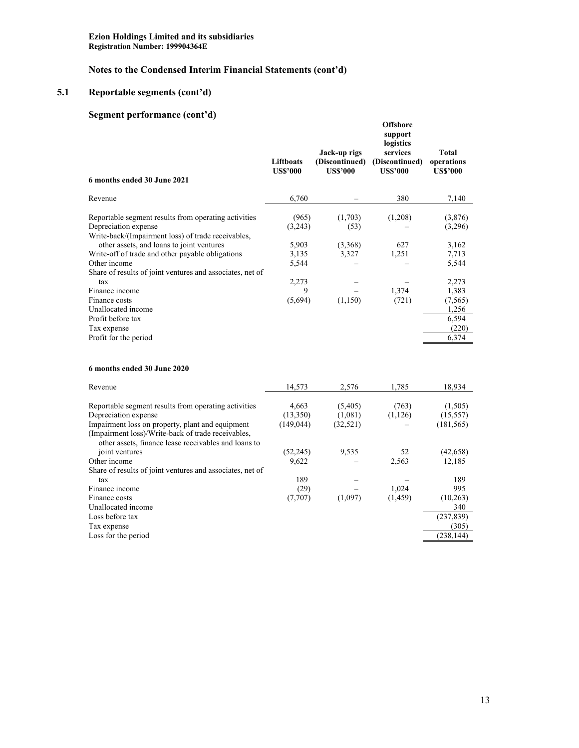# **Notes to the Condensed Interim Financial Statements (cont'd)**

# **5.1 Reportable segments (cont'd)**

# **Segment performance (cont'd)**

| 6 months ended 30 June 2021                                                                                                                                                     | Liftboats<br><b>US\$'000</b> | Jack-up rigs<br>(Discontinued)<br><b>US\$'000</b> | <b>Offshore</b><br>support<br>logistics<br>services<br>(Discontinued)<br><b>US\$'000</b> | <b>Total</b><br>operations<br><b>US\$'000</b> |
|---------------------------------------------------------------------------------------------------------------------------------------------------------------------------------|------------------------------|---------------------------------------------------|------------------------------------------------------------------------------------------|-----------------------------------------------|
| Revenue                                                                                                                                                                         | 6,760                        |                                                   | 380                                                                                      | 7,140                                         |
| Reportable segment results from operating activities<br>Depreciation expense<br>Write-back/(Impairment loss) of trade receivables,<br>other assets, and loans to joint ventures | (965)<br>(3,243)<br>5,903    | (1,703)<br>(53)<br>(3,368)                        | (1,208)<br>627                                                                           | (3,876)<br>(3,296)<br>3,162                   |
| Write-off of trade and other payable obligations<br>Other income<br>Share of results of joint ventures and associates, net of                                                   | 3,135<br>5,544               | 3,327                                             | 1,251                                                                                    | 7,713<br>5,544                                |
| tax<br>Finance income<br>Finance costs<br>Unallocated income                                                                                                                    | 2,273<br>9<br>(5,694)        | (1,150)                                           | 1,374<br>(721)                                                                           | 2,273<br>1,383<br>(7, 565)<br>1,256           |
| Profit before tax<br>Tax expense<br>Profit for the period                                                                                                                       |                              |                                                   |                                                                                          | 6,594<br>(220)<br>6,374                       |
| 6 months ended 30 June 2020                                                                                                                                                     |                              |                                                   |                                                                                          |                                               |

| Revenue                                                   | 14,573     | 2.576     | 1.785    | 18,934     |
|-----------------------------------------------------------|------------|-----------|----------|------------|
| Reportable segment results from operating activities      | 4.663      | (5,405)   | (763)    | (1,505)    |
| Depreciation expense                                      | (13,350)   | (1,081)   | (1,126)  | (15, 557)  |
| Impairment loss on property, plant and equipment          | (149, 044) | (32, 521) |          | (181, 565) |
| (Impairment loss)/Write-back of trade receivables,        |            |           |          |            |
| other assets, finance lease receivables and loans to      |            |           |          |            |
| joint ventures                                            | (52, 245)  | 9,535     | 52       | (42, 658)  |
| Other income                                              | 9,622      |           | 2,563    | 12,185     |
| Share of results of joint ventures and associates, net of |            |           |          |            |
| tax                                                       | 189        |           |          | 189        |
| Finance income                                            | (29)       |           | 1.024    | 995        |
| Finance costs                                             | (7,707)    | (1,097)   | (1, 459) | (10, 263)  |
| Unallocated income                                        |            |           |          | 340        |
| Loss before tax                                           |            |           |          | (237, 839) |
| Tax expense                                               |            |           |          | (305)      |
| Loss for the period                                       |            |           |          | (238, 144) |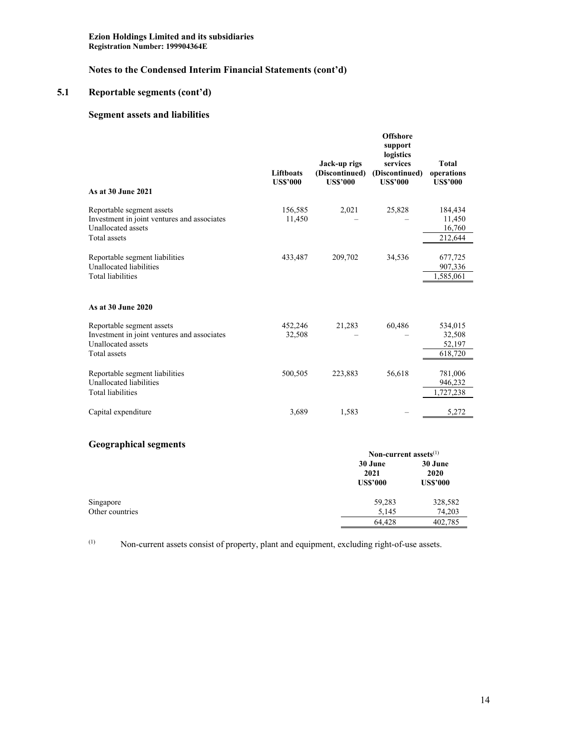# **Notes to the Condensed Interim Financial Statements (cont'd)**

# **5.1 Reportable segments (cont'd)**

# **Segment assets and liabilities**

| As at 30 June 2021                                                                                                    | Liftboats<br><b>US\$'000</b> | Jack-up rigs<br>(Discontinued)<br><b>US\$'000</b> | <b>Offshore</b><br>support<br>logistics<br>services<br>(Discontinued)<br><b>US\$'000</b> | Total<br>operations<br><b>US\$'000</b> |
|-----------------------------------------------------------------------------------------------------------------------|------------------------------|---------------------------------------------------|------------------------------------------------------------------------------------------|----------------------------------------|
| Reportable segment assets<br>Investment in joint ventures and associates<br>Unallocated assets<br><b>Total</b> assets | 156,585<br>11,450            | 2,021                                             | 25,828                                                                                   | 184,434<br>11,450<br>16,760<br>212,644 |
| Reportable segment liabilities<br>Unallocated liabilities<br><b>Total liabilities</b>                                 | 433,487                      | 209,702                                           | 34,536                                                                                   | 677,725<br>907,336<br>1,585,061        |
| As at 30 June 2020                                                                                                    |                              |                                                   |                                                                                          |                                        |
| Reportable segment assets<br>Investment in joint ventures and associates<br>Unallocated assets<br>Total assets        | 452,246<br>32,508            | 21,283                                            | 60,486                                                                                   | 534,015<br>32,508<br>52,197<br>618,720 |
| Reportable segment liabilities<br>Unallocated liabilities<br><b>Total liabilities</b>                                 | 500,505                      | 223,883                                           | 56,618                                                                                   | 781,006<br>946,232<br>1,727,238        |
| Capital expenditure                                                                                                   | 3,689                        | 1,583                                             |                                                                                          | 5,272                                  |

# **Geographical segments**

| Non-current assets $^{(1)}$        |                                    |  |  |
|------------------------------------|------------------------------------|--|--|
| 30 June<br>2021<br><b>US\$'000</b> | 30 June<br>2020<br><b>US\$'000</b> |  |  |
| 59,283                             | 328,582                            |  |  |
| 5,145                              | 74,203                             |  |  |
| 64.428                             | 402,785                            |  |  |
|                                    |                                    |  |  |

(1) Non-current assets consist of property, plant and equipment, excluding right-of-use assets.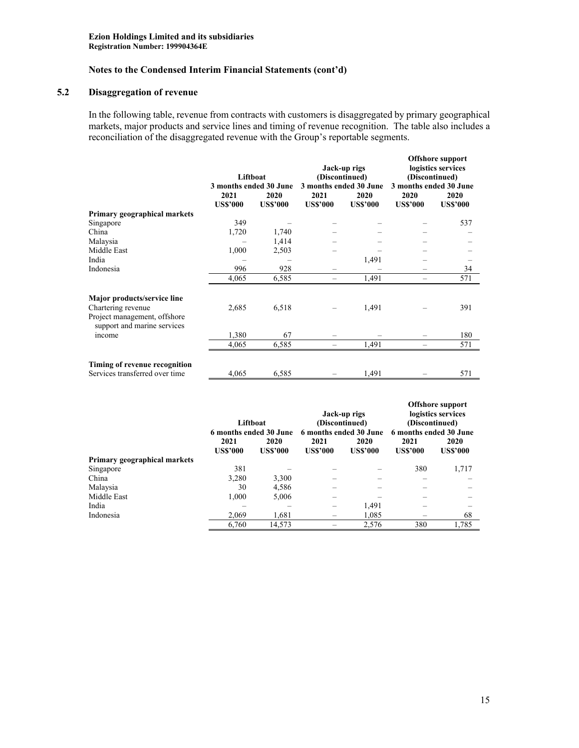# **5.2 Disaggregation of revenue**

In the following table, revenue from contracts with customers is disaggregated by primary geographical markets, major products and service lines and timing of revenue recognition. The table also includes a reconciliation of the disaggregated revenue with the Group's reportable segments.

|                                                                                                                  | Liftboat<br>3 months ended 30 June |                         |                         | Jack-up rigs<br>(Discontinued)<br>3 months ended 30 June |                         | <b>Offshore support</b><br>logistics services<br>(Discontinued)<br>3 months ended 30 June |  |
|------------------------------------------------------------------------------------------------------------------|------------------------------------|-------------------------|-------------------------|----------------------------------------------------------|-------------------------|-------------------------------------------------------------------------------------------|--|
|                                                                                                                  | 2021<br><b>US\$'000</b>            | 2020<br><b>US\$'000</b> | 2021<br><b>US\$'000</b> | 2020<br><b>US\$'000</b>                                  | 2020<br><b>US\$'000</b> | 2020<br><b>US\$'000</b>                                                                   |  |
| Primary geographical markets                                                                                     |                                    |                         |                         |                                                          |                         |                                                                                           |  |
| Singapore                                                                                                        | 349                                |                         |                         |                                                          |                         | 537                                                                                       |  |
| China                                                                                                            | 1,720                              | 1,740                   |                         |                                                          |                         |                                                                                           |  |
| Malaysia                                                                                                         |                                    | 1,414                   |                         |                                                          |                         |                                                                                           |  |
| Middle East                                                                                                      | 1,000                              | 2,503                   |                         |                                                          |                         |                                                                                           |  |
| India                                                                                                            |                                    |                         |                         | 1,491                                                    |                         |                                                                                           |  |
| Indonesia                                                                                                        | 996                                | 928                     |                         |                                                          |                         | 34                                                                                        |  |
|                                                                                                                  | 4,065                              | 6,585                   |                         | 1,491                                                    |                         | 571                                                                                       |  |
| Major products/service line<br>Chartering revenue<br>Project management, offshore<br>support and marine services | 2,685                              | 6,518                   |                         | 1,491                                                    |                         | 391                                                                                       |  |
| income                                                                                                           | 1,380                              | 67                      |                         |                                                          |                         | 180                                                                                       |  |
|                                                                                                                  | 4,065                              | 6,585                   |                         | 1,491                                                    |                         | 571                                                                                       |  |
| Timing of revenue recognition<br>Services transferred over time                                                  | 4,065                              | 6,585                   |                         | 1,491                                                    |                         | 571                                                                                       |  |

|                              | Liftboat<br>6 months ended 30 June |                 | Jack-up rigs<br>(Discontinued)<br>6 months ended 30 June |                 | <b>Offshore support</b><br>logistics services<br>(Discontinued)<br>6 months ended 30 June |                 |
|------------------------------|------------------------------------|-----------------|----------------------------------------------------------|-----------------|-------------------------------------------------------------------------------------------|-----------------|
|                              | 2021                               | 2020            | 2021                                                     | 2020            | 2021                                                                                      | 2020            |
|                              | <b>US\$'000</b>                    | <b>US\$'000</b> | <b>US\$'000</b>                                          | <b>US\$'000</b> | <b>US\$'000</b>                                                                           | <b>US\$'000</b> |
| Primary geographical markets |                                    |                 |                                                          |                 |                                                                                           |                 |
| Singapore                    | 381                                |                 |                                                          |                 | 380                                                                                       | 1,717           |
| China                        | 3,280                              | 3.300           |                                                          |                 |                                                                                           |                 |
| Malaysia                     | 30                                 | 4,586           |                                                          |                 |                                                                                           |                 |
| Middle East                  | 1.000                              | 5.006           |                                                          |                 |                                                                                           |                 |
| India                        |                                    |                 |                                                          | 1.491           |                                                                                           |                 |
| Indonesia                    | 2.069                              | 1.681           |                                                          | 1.085           |                                                                                           | 68              |
|                              | 6.760                              | 14,573          |                                                          | 2,576           | 380                                                                                       | 1.785           |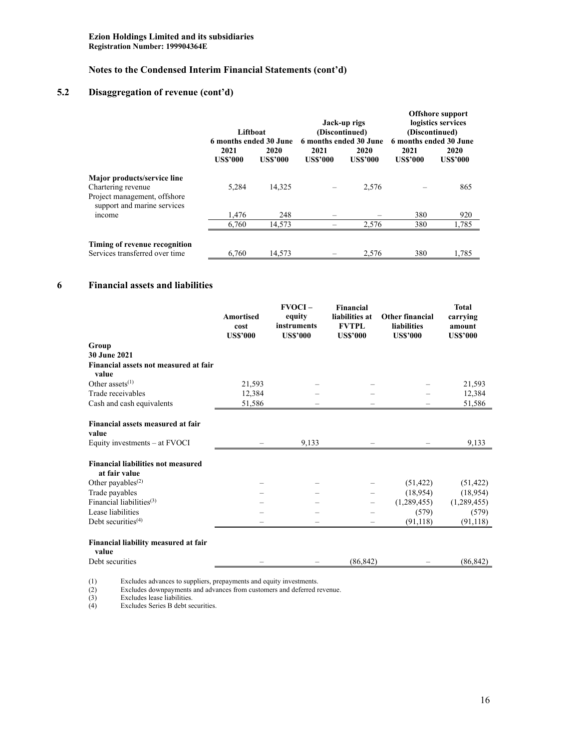# **5.2 Disaggregation of revenue (cont'd)**

|                                                                                                                  | Liftboat<br>6 months ended 30 June |                         |                         | Jack-up rigs<br>(Discontinued)<br>6 months ended 30 June |                         | <b>Offshore support</b><br>logistics services<br>(Discontinued)<br>6 months ended 30 June |  |
|------------------------------------------------------------------------------------------------------------------|------------------------------------|-------------------------|-------------------------|----------------------------------------------------------|-------------------------|-------------------------------------------------------------------------------------------|--|
|                                                                                                                  | 2021<br><b>US\$'000</b>            | 2020<br><b>US\$'000</b> | 2021<br><b>US\$'000</b> | 2020<br><b>US\$'000</b>                                  | 2021<br><b>US\$'000</b> | 2020<br><b>US\$'000</b>                                                                   |  |
| Major products/service line<br>Chartering revenue<br>Project management, offshore<br>support and marine services | 5.284                              | 14,325                  |                         | 2,576                                                    |                         | 865                                                                                       |  |
| income                                                                                                           | 1.476                              | 248                     |                         |                                                          | 380                     | 920                                                                                       |  |
|                                                                                                                  | 6.760                              | 14.573                  |                         | 2,576                                                    | 380                     | 1,785                                                                                     |  |
| Timing of revenue recognition<br>Services transferred over time                                                  | 6.760                              | 14,573                  |                         | 2,576                                                    | 380                     | 1,785                                                                                     |  |

# **6 Financial assets and liabilities**

|                                                            | Amortised<br>cost<br><b>US\$'000</b> | $FVOCI -$<br>equity<br>instruments<br><b>US\$'000</b> | <b>Financial</b><br>liabilities at<br><b>FVTPL</b><br><b>US\$'000</b> | <b>Other financial</b><br><b>liabilities</b><br><b>US\$'000</b> | <b>Total</b><br>carrying<br>amount<br><b>US\$'000</b> |
|------------------------------------------------------------|--------------------------------------|-------------------------------------------------------|-----------------------------------------------------------------------|-----------------------------------------------------------------|-------------------------------------------------------|
| Group                                                      |                                      |                                                       |                                                                       |                                                                 |                                                       |
| 30 June 2021                                               |                                      |                                                       |                                                                       |                                                                 |                                                       |
| Financial assets not measured at fair<br>value             |                                      |                                                       |                                                                       |                                                                 |                                                       |
| Other assets <sup>(1)</sup>                                | 21,593                               |                                                       |                                                                       |                                                                 | 21,593                                                |
| Trade receivables                                          | 12,384                               |                                                       |                                                                       |                                                                 | 12,384                                                |
| Cash and cash equivalents                                  | 51,586                               |                                                       |                                                                       |                                                                 | 51,586                                                |
| Financial assets measured at fair<br>value                 |                                      |                                                       |                                                                       |                                                                 |                                                       |
| Equity investments – at FVOCI                              |                                      | 9,133                                                 |                                                                       |                                                                 | 9,133                                                 |
| <b>Financial liabilities not measured</b><br>at fair value |                                      |                                                       |                                                                       |                                                                 |                                                       |
| Other payables <sup>(2)</sup>                              |                                      |                                                       |                                                                       | (51, 422)                                                       | (51, 422)                                             |
| Trade payables                                             |                                      |                                                       |                                                                       | (18,954)                                                        | (18,954)                                              |
| Financial liabilities $(3)$                                |                                      |                                                       |                                                                       | (1,289,455)                                                     | (1,289,455)                                           |
| Lease liabilities                                          |                                      |                                                       |                                                                       | (579)                                                           | (579)                                                 |
| Debt securities $(4)$                                      |                                      |                                                       | $\qquad \qquad$                                                       | (91, 118)                                                       | (91, 118)                                             |
| Financial liability measured at fair<br>value              |                                      |                                                       |                                                                       |                                                                 |                                                       |
| Debt securities                                            |                                      |                                                       | (86, 842)                                                             |                                                                 | (86, 842)                                             |

(1) Excludes advances to suppliers, prepayments and equity investments.

(2) Excludes downpayments and advances from customers and deferred revenue.

(1)<br>(2)<br>(3)<br>(4) (3) Excludes lease liabilities.

Excludes Series B debt securities.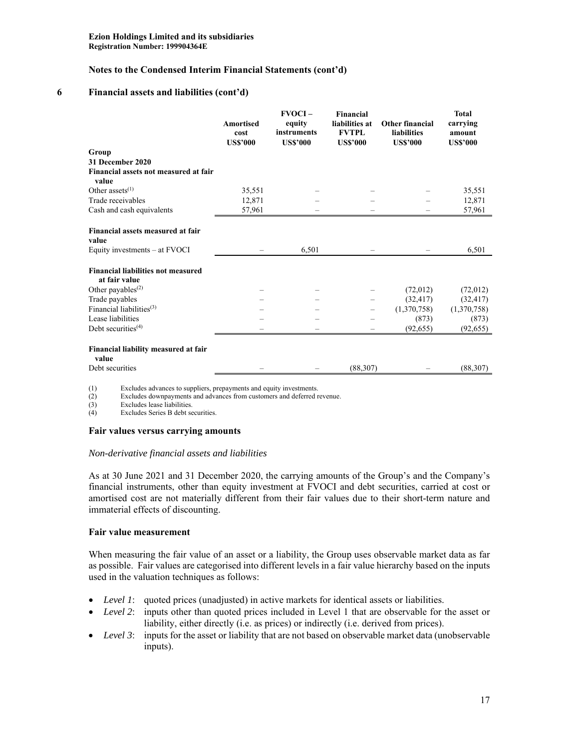#### **6 Financial assets and liabilities (cont'd)**

|                                                            | <b>Amortised</b><br>cost<br><b>US\$'000</b> | $FVOCI -$<br>equity<br>instruments<br><b>US\$'000</b> | <b>Financial</b><br>liabilities at<br><b>FVTPL</b><br><b>US\$'000</b> | <b>Other financial</b><br>liabilities<br><b>US\$'000</b> | <b>Total</b><br>carrying<br>amount<br><b>US\$'000</b> |
|------------------------------------------------------------|---------------------------------------------|-------------------------------------------------------|-----------------------------------------------------------------------|----------------------------------------------------------|-------------------------------------------------------|
| Group                                                      |                                             |                                                       |                                                                       |                                                          |                                                       |
| <b>31 December 2020</b>                                    |                                             |                                                       |                                                                       |                                                          |                                                       |
| Financial assets not measured at fair<br>value             |                                             |                                                       |                                                                       |                                                          |                                                       |
| Other assets $(1)$                                         | 35,551                                      |                                                       |                                                                       |                                                          | 35,551                                                |
| Trade receivables                                          | 12,871                                      |                                                       |                                                                       |                                                          | 12,871                                                |
| Cash and cash equivalents                                  | 57,961                                      |                                                       |                                                                       |                                                          | 57,961                                                |
| Financial assets measured at fair<br>value                 |                                             |                                                       |                                                                       |                                                          |                                                       |
| Equity investments – at FVOCI                              |                                             | 6,501                                                 |                                                                       |                                                          | 6,501                                                 |
| <b>Financial liabilities not measured</b><br>at fair value |                                             |                                                       |                                                                       |                                                          |                                                       |
| Other payables <sup>(2)</sup>                              |                                             |                                                       |                                                                       | (72,012)                                                 | (72,012)                                              |
| Trade payables                                             |                                             |                                                       |                                                                       | (32, 417)                                                | (32, 417)                                             |
| Financial liabilities $(3)$                                |                                             |                                                       |                                                                       | (1,370,758)                                              | (1,370,758)                                           |
| Lease liabilities                                          |                                             |                                                       |                                                                       | (873)                                                    | (873)                                                 |
| Debt securities $(4)$                                      |                                             |                                                       |                                                                       | (92, 655)                                                | (92, 655)                                             |
| Financial liability measured at fair<br>value              |                                             |                                                       |                                                                       |                                                          |                                                       |
| Debt securities                                            |                                             |                                                       | (88, 307)                                                             |                                                          | (88,307)                                              |

(1) Excludes advances to suppliers, prepayments and equity investments.<br>(2) Excludes downpayments and advances from customers and deferred i

Excludes downpayments and advances from customers and deferred revenue.

(3) Excludes lease liabilities.<br>
(4) Excludes Series B debt se

Excludes Series B debt securities.

#### **Fair values versus carrying amounts**

#### *Non-derivative financial assets and liabilities*

As at 30 June 2021 and 31 December 2020, the carrying amounts of the Group's and the Company's financial instruments, other than equity investment at FVOCI and debt securities, carried at cost or amortised cost are not materially different from their fair values due to their short-term nature and immaterial effects of discounting.

#### **Fair value measurement**

When measuring the fair value of an asset or a liability, the Group uses observable market data as far as possible. Fair values are categorised into different levels in a fair value hierarchy based on the inputs used in the valuation techniques as follows:

- Level 1: quoted prices (unadjusted) in active markets for identical assets or liabilities.
- Level 2: inputs other than quoted prices included in Level 1 that are observable for the asset or liability, either directly (i.e. as prices) or indirectly (i.e. derived from prices).
- Level 3: inputs for the asset or liability that are not based on observable market data (unobservable inputs).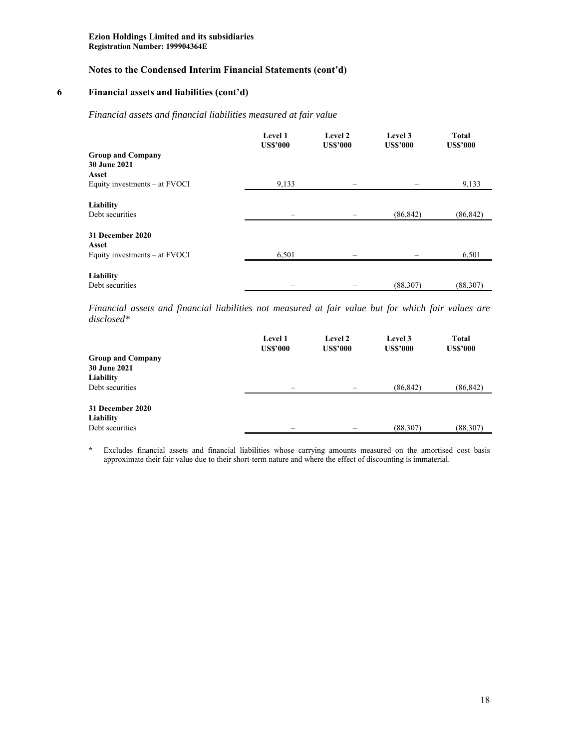#### **6 Financial assets and liabilities (cont'd)**

#### *Financial assets and financial liabilities measured at fair value*

| <b>Level 1</b><br><b>US\$'000</b> | Level 2<br><b>US\$'000</b> | Level 3<br><b>US\$'000</b> | <b>Total</b><br><b>US\$'000</b> |
|-----------------------------------|----------------------------|----------------------------|---------------------------------|
|                                   |                            |                            |                                 |
|                                   |                            |                            |                                 |
| 9,133                             |                            |                            | 9,133                           |
|                                   |                            | (86, 842)                  | (86, 842)                       |
|                                   |                            |                            |                                 |
|                                   |                            |                            | 6,501                           |
|                                   |                            |                            | (88, 307)                       |
|                                   | 6,501                      |                            | (88, 307)                       |

*Financial assets and financial liabilities not measured at fair value but for which fair values are disclosed\** 

|                          | Level 1<br><b>US\$'000</b> | <b>Level 2</b><br><b>US\$'000</b> | Level 3<br><b>US\$'000</b> | <b>Total</b><br><b>US\$'000</b> |
|--------------------------|----------------------------|-----------------------------------|----------------------------|---------------------------------|
| <b>Group and Company</b> |                            |                                   |                            |                                 |
| <b>30 June 2021</b>      |                            |                                   |                            |                                 |
| Liability                |                            |                                   |                            |                                 |
| Debt securities          |                            |                                   | (86, 842)                  | (86, 842)                       |
|                          |                            |                                   |                            |                                 |
| 31 December 2020         |                            |                                   |                            |                                 |
| Liability                |                            |                                   |                            |                                 |
| Debt securities          |                            |                                   | (88, 307)                  | (88, 307)                       |

**\*** Excludes financial assets and financial liabilities whose carrying amounts measured on the amortised cost basis approximate their fair value due to their short-term nature and where the effect of discounting is immaterial.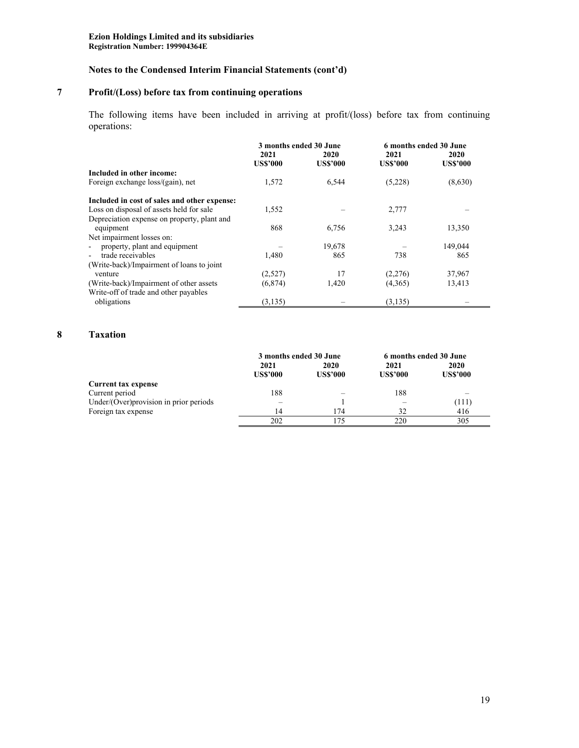# **7 Profit/(Loss) before tax from continuing operations**

The following items have been included in arriving at profit/(loss) before tax from continuing operations:

|                                              | 3 months ended 30 June |                 | 6 months ended 30 June |                 |
|----------------------------------------------|------------------------|-----------------|------------------------|-----------------|
|                                              | 2021                   | 2020            |                        | 2020            |
|                                              | <b>US\$'000</b>        | <b>US\$'000</b> | <b>US\$'000</b>        | <b>US\$'000</b> |
| Included in other income:                    |                        |                 |                        |                 |
| Foreign exchange loss/(gain), net            | 1,572                  | 6,544           | (5,228)                | (8,630)         |
| Included in cost of sales and other expense: |                        |                 |                        |                 |
| Loss on disposal of assets held for sale     | 1,552                  |                 | 2,777                  |                 |
| Depreciation expense on property, plant and  |                        |                 |                        |                 |
| equipment                                    | 868                    | 6,756           | 3,243                  | 13,350          |
| Net impairment losses on:                    |                        |                 |                        |                 |
| property, plant and equipment                |                        | 19,678          |                        | 149,044         |
| trade receivables                            | 1,480                  | 865             | 738                    | 865             |
| (Write-back)/Impairment of loans to joint    |                        |                 |                        |                 |
| venture                                      | (2,527)                | 17              | (2,276)                | 37,967          |
| (Write-back)/Impairment of other assets      | (6,874)                | 1,420           | (4,365)                | 13,413          |
| Write-off of trade and other payables        |                        |                 |                        |                 |
| obligations                                  | (3, 135)               |                 | (3, 135)               |                 |

# **8 Taxation**

|                                        |                 | 3 months ended 30 June | 6 months ended 30 June |                 |
|----------------------------------------|-----------------|------------------------|------------------------|-----------------|
|                                        | 2021            | 2020                   | 2021                   | 2020            |
|                                        | <b>US\$'000</b> | <b>US\$'000</b>        | <b>US\$'000</b>        | <b>US\$'000</b> |
| Current tax expense                    |                 |                        |                        |                 |
| Current period                         | 188             |                        | 188                    |                 |
| Under/(Over)provision in prior periods |                 |                        |                        | (111)           |
| Foreign tax expense                    | 14              | 174                    | 32                     | 416             |
|                                        | 202             | 175                    | 220                    | 305             |
|                                        |                 |                        |                        |                 |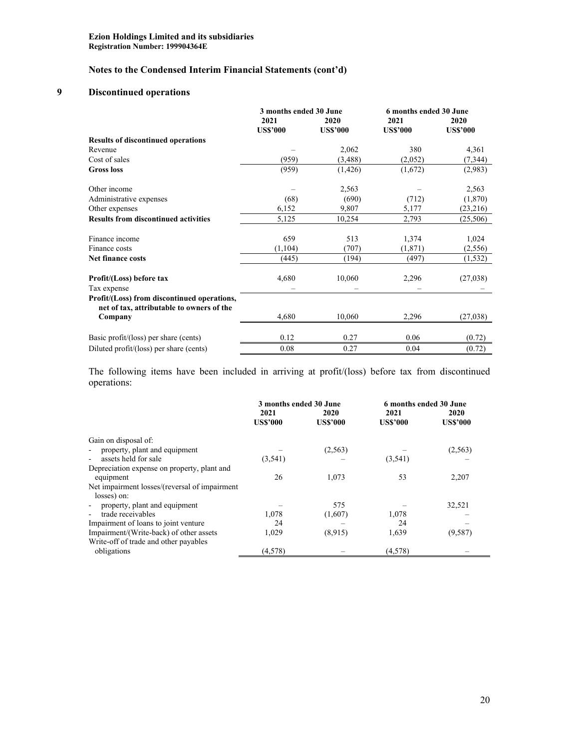# **9 Discontinued operations**

|                                                                                                     | 3 months ended 30 June  |                         | 6 months ended 30 June  |                         |  |
|-----------------------------------------------------------------------------------------------------|-------------------------|-------------------------|-------------------------|-------------------------|--|
|                                                                                                     | 2021<br><b>US\$'000</b> | 2020<br><b>US\$'000</b> | 2021<br><b>US\$'000</b> | 2020<br><b>US\$'000</b> |  |
| <b>Results of discontinued operations</b>                                                           |                         |                         |                         |                         |  |
| Revenue                                                                                             |                         | 2,062                   | 380                     | 4,361                   |  |
| Cost of sales                                                                                       | (959)                   | (3,488)                 | (2,052)                 | (7, 344)                |  |
| <b>Gross</b> loss                                                                                   | (959)                   | (1, 426)                | (1,672)                 | (2,983)                 |  |
| Other income                                                                                        |                         | 2,563                   |                         | 2,563                   |  |
| Administrative expenses                                                                             | (68)                    | (690)                   | (712)                   | (1,870)                 |  |
| Other expenses                                                                                      | 6,152                   | 9,807                   | 5,177                   | (23,216)                |  |
| <b>Results from discontinued activities</b>                                                         | 5,125                   | 10,254                  | 2,793                   | (25,506)                |  |
| Finance income                                                                                      | 659                     | 513                     | 1,374                   | 1,024                   |  |
| Finance costs                                                                                       | (1, 104)                | (707)                   | (1,871)                 | (2, 556)                |  |
| Net finance costs                                                                                   | (445)                   | (194)                   | (497)                   | (1, 532)                |  |
| Profit/(Loss) before tax<br>Tax expense                                                             | 4,680                   | 10,060                  | 2,296                   | (27,038)                |  |
| Profit/(Loss) from discontinued operations,<br>net of tax, attributable to owners of the<br>Company | 4,680                   | 10,060                  | 2,296                   | (27,038)                |  |
|                                                                                                     |                         |                         |                         |                         |  |
| Basic profit/(loss) per share (cents)                                                               | 0.12                    | 0.27                    | 0.06                    | (0.72)                  |  |
| Diluted profit/(loss) per share (cents)                                                             | 0.08                    | 0.27                    | 0.04                    | (0.72)                  |  |

The following items have been included in arriving at profit/(loss) before tax from discontinued operations:

|                                               | 3 months ended 30 June |                 | 6 months ended 30 June |                 |
|-----------------------------------------------|------------------------|-----------------|------------------------|-----------------|
|                                               | 2021                   | 2020            | 2021                   | 2020            |
|                                               | <b>US\$'000</b>        | <b>US\$'000</b> | <b>US\$'000</b>        | <b>US\$'000</b> |
| Gain on disposal of:                          |                        |                 |                        |                 |
| property, plant and equipment                 |                        | (2, 563)        |                        | (2, 563)        |
| assets held for sale                          | (3,541)                |                 | (3,541)                |                 |
| Depreciation expense on property, plant and   |                        |                 |                        |                 |
| equipment                                     | 26                     | 1,073           | 53                     | 2,207           |
| Net impairment losses/(reversal of impairment |                        |                 |                        |                 |
| losses) on:                                   |                        |                 |                        |                 |
| property, plant and equipment                 |                        | 575             |                        | 32,521          |
| trade receivables                             | 1,078                  | (1,607)         | 1,078                  |                 |
| Impairment of loans to joint venture          | 24                     |                 | 24                     |                 |
| Impairment/(Write-back) of other assets       | 1,029                  | (8,915)         | 1,639                  | (9, 587)        |
| Write-off of trade and other payables         |                        |                 |                        |                 |
| obligations                                   | (4,578)                |                 | (4,578)                |                 |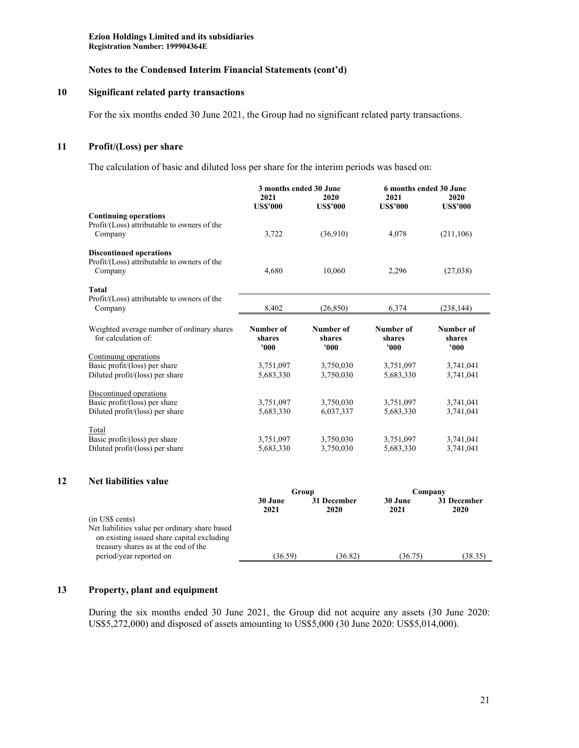#### **Notes to the Condensed Interim Financial Statements (cont'd)**

#### **10 Significant related party transactions**

For the six months ended 30 June 2021, the Group had no significant related party transactions.

# **11 Profit/(Loss) per share**

The calculation of basic and diluted loss per share for the interim periods was based on:

|                                             | 3 months ended 30 June  |                         | 6 months ended 30 June  |                         |
|---------------------------------------------|-------------------------|-------------------------|-------------------------|-------------------------|
|                                             | 2021<br><b>US\$'000</b> | 2020<br><b>US\$'000</b> | 2021<br><b>US\$'000</b> | 2020<br><b>US\$'000</b> |
| <b>Continuing operations</b>                |                         |                         |                         |                         |
| Profit/(Loss) attributable to owners of the |                         |                         |                         |                         |
| Company                                     | 3,722                   | (36,910)                | 4,078                   | (211,106)               |
| <b>Discontinued operations</b>              |                         |                         |                         |                         |
| Profit/(Loss) attributable to owners of the |                         |                         |                         |                         |
| Company                                     | 4,680                   | 10,060                  | 2,296                   | (27,038)                |
| Total                                       |                         |                         |                         |                         |
| Profit/(Loss) attributable to owners of the |                         |                         |                         |                         |
| Company                                     | 8.402                   | (26.850)                | 6,374                   | (238, 144)              |
| Weighted average number of ordinary shares  | Number of               | Number of               | Number of               | Number of               |
| for calculation of:                         | shares                  | shares                  | shares                  | shares                  |
|                                             | '000                    | '000                    | 000'                    | 000'                    |
| Continuing operations                       |                         |                         |                         |                         |
| Basic profit/(loss) per share               | 3,751,097               | 3,750,030               | 3,751,097               | 3,741,041               |
| Diluted profit/(loss) per share             | 5,683,330               | 3,750,030               | 5,683,330               | 3,741,041               |
| Discontinued operations                     |                         |                         |                         |                         |
| Basic profit/(loss) per share               | 3,751,097               | 3,750,030               | 3,751,097               | 3,741,041               |
| Diluted profit/(loss) per share             | 5,683,330               | 6,037,337               | 5,683,330               | 3.741.041               |
| Total                                       |                         |                         |                         |                         |
| Basic profit/(loss) per share               | 3,751,097               | 3,750,030               | 3,751,097               | 3,741,041               |
| Diluted profit/(loss) per share             | 5,683,330               | 3,750,030               | 5,683,330               | 3,741,041               |

#### **12 Net liabilities value**

|                                                | Group           |                     | Company         |                     |
|------------------------------------------------|-----------------|---------------------|-----------------|---------------------|
|                                                | 30 June<br>2021 | 31 December<br>2020 | 30 June<br>2021 | 31 December<br>2020 |
| (in US\$ cents)                                |                 |                     |                 |                     |
| Net liabilities value per ordinary share based |                 |                     |                 |                     |
| on existing issued share capital excluding     |                 |                     |                 |                     |
| treasury shares as at the end of the           |                 |                     |                 |                     |
| period/year reported on                        | (36.59)         | (36.82)             | (36.75)         | (38.35)             |

#### **13 Property, plant and equipment**

During the six months ended 30 June 2021, the Group did not acquire any assets (30 June 2020: US\$5,272,000) and disposed of assets amounting to US\$5,000 (30 June 2020: US\$5,014,000).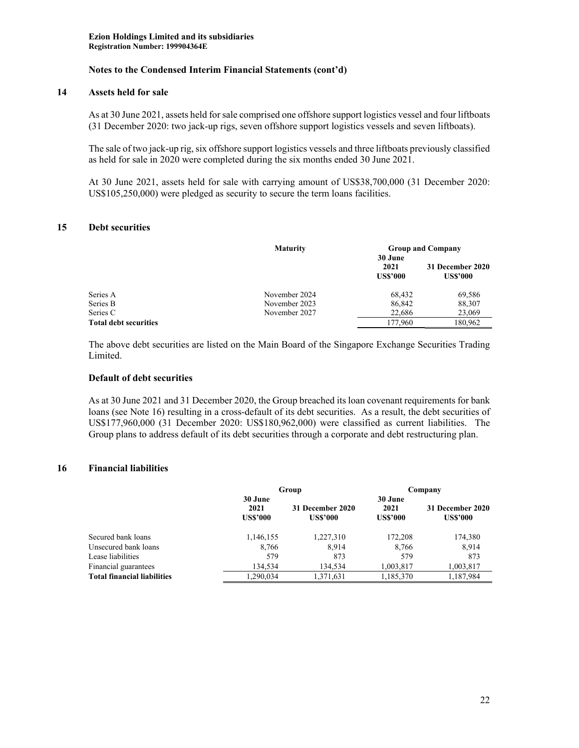### **14 Assets held for sale**

As at 30 June 2021, assets held for sale comprised one offshore support logistics vessel and four liftboats (31 December 2020: two jack-up rigs, seven offshore support logistics vessels and seven liftboats).

The sale of two jack-up rig, six offshore support logistics vessels and three liftboats previously classified as held for sale in 2020 were completed during the six months ended 30 June 2021.

At 30 June 2021, assets held for sale with carrying amount of US\$38,700,000 (31 December 2020: US\$105,250,000) were pledged as security to secure the term loans facilities.

### **15 Debt securities**

|                              | <b>Maturity</b> | <b>Group and Company</b>           |                                     |  |
|------------------------------|-----------------|------------------------------------|-------------------------------------|--|
|                              |                 | 30 June<br>2021<br><b>US\$'000</b> | 31 December 2020<br><b>US\$'000</b> |  |
| Series A                     | November 2024   | 68,432                             | 69,586                              |  |
| Series B                     | November 2023   | 86,842                             | 88,307                              |  |
| Series C                     | November 2027   | 22,686                             | 23,069                              |  |
| <b>Total debt securities</b> |                 | 177,960                            | 180.962                             |  |
|                              |                 |                                    |                                     |  |

The above debt securities are listed on the Main Board of the Singapore Exchange Securities Trading Limited.

#### **Default of debt securities**

As at 30 June 2021 and 31 December 2020, the Group breached its loan covenant requirements for bank loans (see Note 16) resulting in a cross-default of its debt securities. As a result, the debt securities of US\$177,960,000 (31 December 2020: US\$180,962,000) were classified as current liabilities. The Group plans to address default of its debt securities through a corporate and debt restructuring plan.

# **16 Financial liabilities**

|                                    | Group                              |                                     | Company                            |                                     |
|------------------------------------|------------------------------------|-------------------------------------|------------------------------------|-------------------------------------|
|                                    | 30 June<br>2021<br><b>US\$'000</b> | 31 December 2020<br><b>US\$'000</b> | 30 June<br>2021<br><b>US\$'000</b> | 31 December 2020<br><b>US\$'000</b> |
| Secured bank loans                 | 1,146,155                          | 1,227,310                           | 172,208                            | 174,380                             |
| Unsecured bank loans               | 8,766                              | 8,914                               | 8,766                              | 8,914                               |
| Lease liabilities                  | 579                                | 873                                 | 579                                | 873                                 |
| Financial guarantees               | 134,534                            | 134,534                             | 1,003,817                          | 1,003,817                           |
| <b>Total financial liabilities</b> | 1,290,034                          | 1,371,631                           | 1,185,370                          | 1,187,984                           |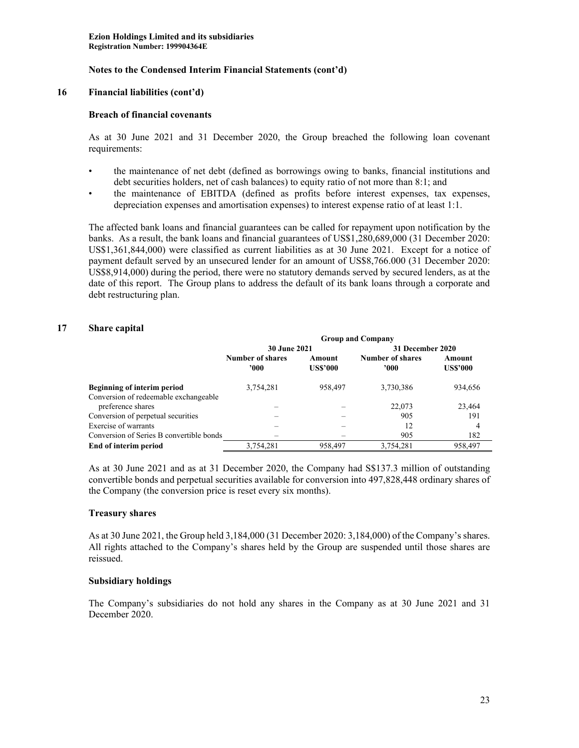#### **16 Financial liabilities (cont'd)**

#### **Breach of financial covenants**

As at 30 June 2021 and 31 December 2020, the Group breached the following loan covenant requirements:

- the maintenance of net debt (defined as borrowings owing to banks, financial institutions and debt securities holders, net of cash balances) to equity ratio of not more than 8:1; and
- the maintenance of EBITDA (defined as profits before interest expenses, tax expenses, depreciation expenses and amortisation expenses) to interest expense ratio of at least 1:1.

The affected bank loans and financial guarantees can be called for repayment upon notification by the banks. As a result, the bank loans and financial guarantees of US\$1,280,689,000 (31 December 2020: US\$1,361,844,000) were classified as current liabilities as at 30 June 2021. Except for a notice of payment default served by an unsecured lender for an amount of US\$8,766.000 (31 December 2020: US\$8,914,000) during the period, there were no statutory demands served by secured lenders, as at the date of this report. The Group plans to address the default of its bank loans through a corporate and debt restructuring plan.

### **17 Share capital**

|                                          | <b>Group and Company</b>          |                 |                         |                 |
|------------------------------------------|-----------------------------------|-----------------|-------------------------|-----------------|
|                                          | <b>30 June 2021</b>               |                 | 31 December 2020        |                 |
|                                          | <b>Number of shares</b><br>Amount |                 | <b>Number of shares</b> | Amount          |
|                                          | '000                              | <b>US\$'000</b> | '000                    | <b>US\$'000</b> |
| Beginning of interim period              | 3,754,281                         | 958,497         | 3,730,386               | 934,656         |
| Conversion of redeemable exchangeable    |                                   |                 |                         |                 |
| preference shares                        |                                   |                 | 22,073                  | 23,464          |
| Conversion of perpetual securities       |                                   |                 | 905                     | 191             |
| Exercise of warrants                     |                                   |                 | 12                      | 4               |
| Conversion of Series B convertible bonds |                                   |                 | 905                     | 182             |
| End of interim period                    | 3,754,281                         | 958,497         | 3,754,281               | 958,497         |

As at 30 June 2021 and as at 31 December 2020, the Company had S\$137.3 million of outstanding convertible bonds and perpetual securities available for conversion into 497,828,448 ordinary shares of the Company (the conversion price is reset every six months).

### **Treasury shares**

As at 30 June 2021, the Group held 3,184,000 (31 December 2020: 3,184,000) of the Company's shares. All rights attached to the Company's shares held by the Group are suspended until those shares are reissued.

### **Subsidiary holdings**

The Company's subsidiaries do not hold any shares in the Company as at 30 June 2021 and 31 December 2020.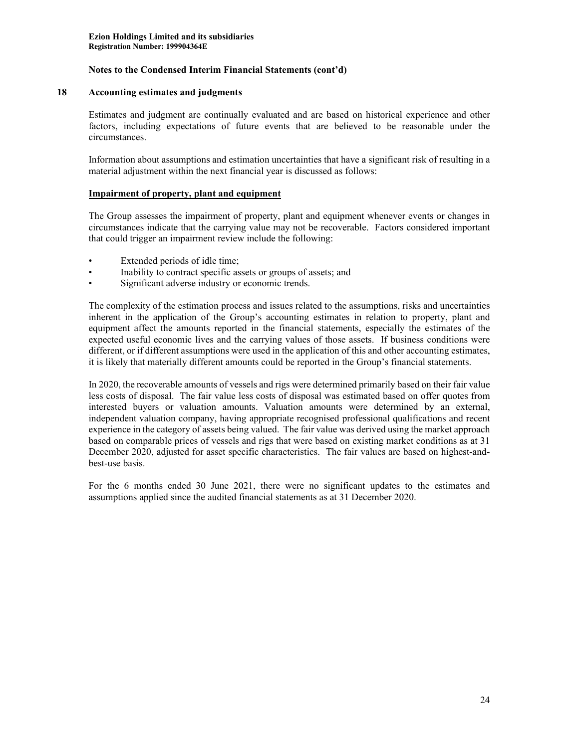#### **18 Accounting estimates and judgments**

Estimates and judgment are continually evaluated and are based on historical experience and other factors, including expectations of future events that are believed to be reasonable under the circumstances.

Information about assumptions and estimation uncertainties that have a significant risk of resulting in a material adjustment within the next financial year is discussed as follows:

### **Impairment of property, plant and equipment**

The Group assesses the impairment of property, plant and equipment whenever events or changes in circumstances indicate that the carrying value may not be recoverable. Factors considered important that could trigger an impairment review include the following:

- Extended periods of idle time;
- Inability to contract specific assets or groups of assets; and
- Significant adverse industry or economic trends.

The complexity of the estimation process and issues related to the assumptions, risks and uncertainties inherent in the application of the Group's accounting estimates in relation to property, plant and equipment affect the amounts reported in the financial statements, especially the estimates of the expected useful economic lives and the carrying values of those assets. If business conditions were different, or if different assumptions were used in the application of this and other accounting estimates, it is likely that materially different amounts could be reported in the Group's financial statements.

In 2020, the recoverable amounts of vessels and rigs were determined primarily based on their fair value less costs of disposal. The fair value less costs of disposal was estimated based on offer quotes from interested buyers or valuation amounts. Valuation amounts were determined by an external, independent valuation company, having appropriate recognised professional qualifications and recent experience in the category of assets being valued. The fair value was derived using the market approach based on comparable prices of vessels and rigs that were based on existing market conditions as at 31 December 2020, adjusted for asset specific characteristics. The fair values are based on highest-andbest-use basis.

For the 6 months ended 30 June 2021, there were no significant updates to the estimates and assumptions applied since the audited financial statements as at 31 December 2020.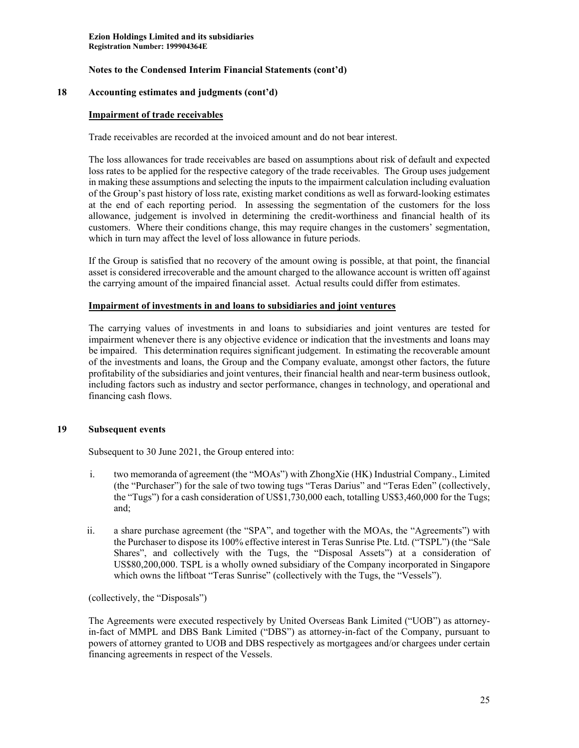#### **18 Accounting estimates and judgments (cont'd)**

#### **Impairment of trade receivables**

Trade receivables are recorded at the invoiced amount and do not bear interest.

The loss allowances for trade receivables are based on assumptions about risk of default and expected loss rates to be applied for the respective category of the trade receivables. The Group uses judgement in making these assumptions and selecting the inputs to the impairment calculation including evaluation of the Group's past history of loss rate, existing market conditions as well as forward-looking estimates at the end of each reporting period. In assessing the segmentation of the customers for the loss allowance, judgement is involved in determining the credit-worthiness and financial health of its customers. Where their conditions change, this may require changes in the customers' segmentation, which in turn may affect the level of loss allowance in future periods.

If the Group is satisfied that no recovery of the amount owing is possible, at that point, the financial asset is considered irrecoverable and the amount charged to the allowance account is written off against the carrying amount of the impaired financial asset. Actual results could differ from estimates.

#### **Impairment of investments in and loans to subsidiaries and joint ventures**

The carrying values of investments in and loans to subsidiaries and joint ventures are tested for impairment whenever there is any objective evidence or indication that the investments and loans may be impaired. This determination requires significant judgement. In estimating the recoverable amount of the investments and loans, the Group and the Company evaluate, amongst other factors, the future profitability of the subsidiaries and joint ventures, their financial health and near-term business outlook, including factors such as industry and sector performance, changes in technology, and operational and financing cash flows.

### **19 Subsequent events**

Subsequent to 30 June 2021, the Group entered into:

- i. two memoranda of agreement (the "MOAs") with ZhongXie (HK) Industrial Company., Limited (the "Purchaser") for the sale of two towing tugs "Teras Darius" and "Teras Eden" (collectively, the "Tugs") for a cash consideration of US\$1,730,000 each, totalling US\$3,460,000 for the Tugs; and;
- ii. a share purchase agreement (the "SPA", and together with the MOAs, the "Agreements") with the Purchaser to dispose its 100% effective interest in Teras Sunrise Pte. Ltd. ("TSPL") (the "Sale Shares", and collectively with the Tugs, the "Disposal Assets") at a consideration of US\$80,200,000. TSPL is a wholly owned subsidiary of the Company incorporated in Singapore which owns the liftboat "Teras Sunrise" (collectively with the Tugs, the "Vessels").

(collectively, the "Disposals")

The Agreements were executed respectively by United Overseas Bank Limited ("UOB") as attorneyin-fact of MMPL and DBS Bank Limited ("DBS") as attorney-in-fact of the Company, pursuant to powers of attorney granted to UOB and DBS respectively as mortgagees and/or chargees under certain financing agreements in respect of the Vessels.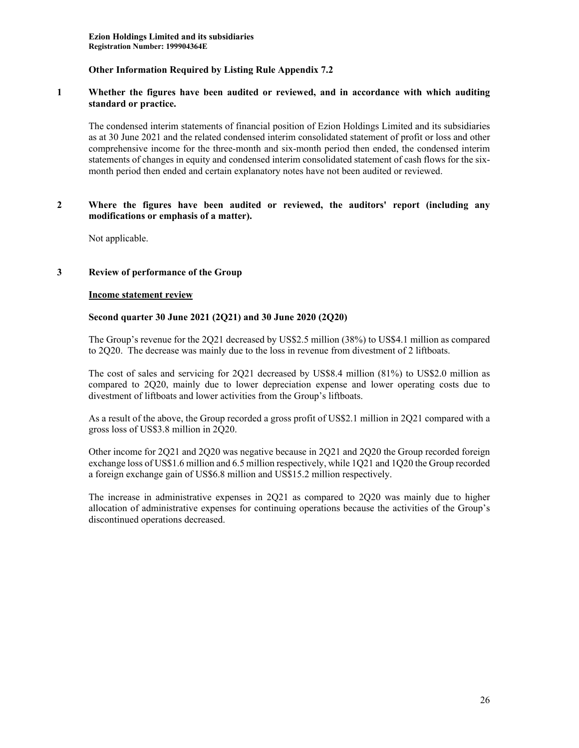### **1 Whether the figures have been audited or reviewed, and in accordance with which auditing standard or practice.**

The condensed interim statements of financial position of Ezion Holdings Limited and its subsidiaries as at 30 June 2021 and the related condensed interim consolidated statement of profit or loss and other comprehensive income for the three-month and six-month period then ended, the condensed interim statements of changes in equity and condensed interim consolidated statement of cash flows for the sixmonth period then ended and certain explanatory notes have not been audited or reviewed.

#### **2 Where the figures have been audited or reviewed, the auditors' report (including any modifications or emphasis of a matter).**

Not applicable.

### **3 Review of performance of the Group**

#### **Income statement review**

### **Second quarter 30 June 2021 (2Q21) and 30 June 2020 (2Q20)**

The Group's revenue for the 2Q21 decreased by US\$2.5 million (38%) to US\$4.1 million as compared to 2Q20. The decrease was mainly due to the loss in revenue from divestment of 2 liftboats.

The cost of sales and servicing for 2Q21 decreased by US\$8.4 million (81%) to US\$2.0 million as compared to 2Q20, mainly due to lower depreciation expense and lower operating costs due to divestment of liftboats and lower activities from the Group's liftboats.

As a result of the above, the Group recorded a gross profit of US\$2.1 million in 2Q21 compared with a gross loss of US\$3.8 million in 2Q20.

Other income for 2Q21 and 2Q20 was negative because in 2Q21 and 2Q20 the Group recorded foreign exchange loss of US\$1.6 million and 6.5 million respectively, while 1Q21 and 1Q20 the Group recorded a foreign exchange gain of US\$6.8 million and US\$15.2 million respectively.

The increase in administrative expenses in 2Q21 as compared to 2Q20 was mainly due to higher allocation of administrative expenses for continuing operations because the activities of the Group's discontinued operations decreased.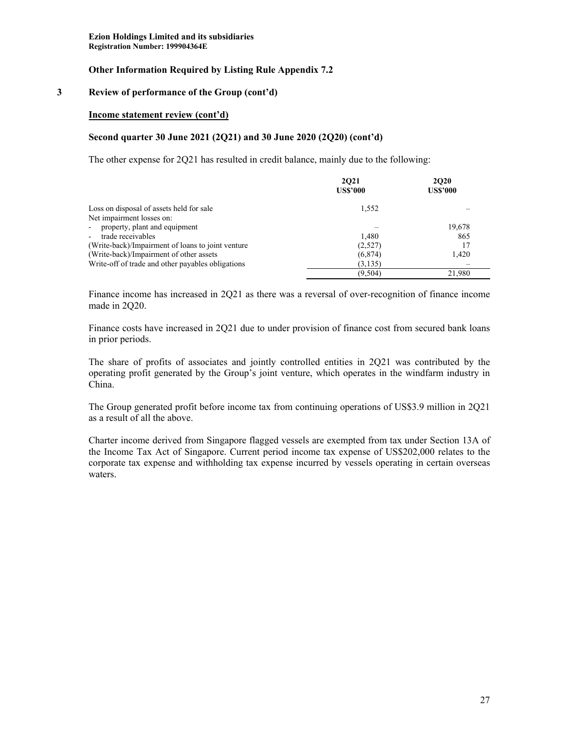#### **3 Review of performance of the Group (cont'd)**

#### **Income statement review (cont'd)**

#### **Second quarter 30 June 2021 (2Q21) and 30 June 2020 (2Q20) (cont'd)**

The other expense for 2Q21 has resulted in credit balance, mainly due to the following:

|                                                   | 2021<br><b>US\$'000</b> | <b>2020</b><br><b>US\$'000</b> |
|---------------------------------------------------|-------------------------|--------------------------------|
| Loss on disposal of assets held for sale          | 1.552                   |                                |
| Net impairment losses on:                         |                         |                                |
| property, plant and equipment<br>$\blacksquare$   |                         | 19,678                         |
| trade receivables<br>$\sim$                       | 1.480                   | 865                            |
| (Write-back)/Impairment of loans to joint venture | (2,527)                 | 17                             |
| (Write-back)/Impairment of other assets           | (6,874)                 | 1,420                          |
| Write-off of trade and other payables obligations | (3, 135)                |                                |
|                                                   | (9,504)                 | 21.980                         |

Finance income has increased in 2Q21 as there was a reversal of over-recognition of finance income made in 2Q20.

Finance costs have increased in 2Q21 due to under provision of finance cost from secured bank loans in prior periods.

The share of profits of associates and jointly controlled entities in 2Q21 was contributed by the operating profit generated by the Group's joint venture, which operates in the windfarm industry in China.

The Group generated profit before income tax from continuing operations of US\$3.9 million in 2Q21 as a result of all the above.

Charter income derived from Singapore flagged vessels are exempted from tax under Section 13A of the Income Tax Act of Singapore. Current period income tax expense of US\$202,000 relates to the corporate tax expense and withholding tax expense incurred by vessels operating in certain overseas waters.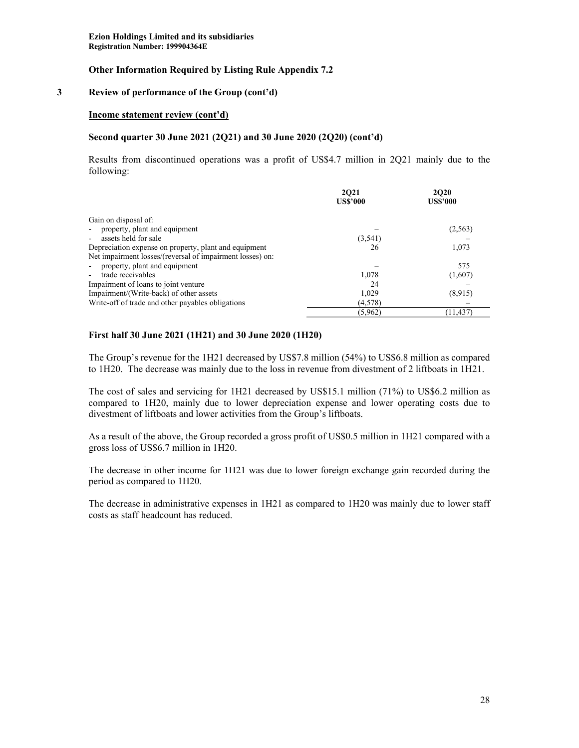#### **3 Review of performance of the Group (cont'd)**

#### **Income statement review (cont'd)**

#### **Second quarter 30 June 2021 (2Q21) and 30 June 2020 (2Q20) (cont'd)**

Results from discontinued operations was a profit of US\$4.7 million in 2Q21 mainly due to the following:

|                                                           | 2021<br><b>US\$'000</b> | <b>2020</b><br><b>US\$'000</b> |
|-----------------------------------------------------------|-------------------------|--------------------------------|
| Gain on disposal of:                                      |                         |                                |
| property, plant and equipment                             |                         | (2, 563)                       |
| assets held for sale                                      | (3, 541)                |                                |
| Depreciation expense on property, plant and equipment     | 26                      | 1.073                          |
| Net impairment losses/(reversal of impairment losses) on: |                         |                                |
| property, plant and equipment                             |                         | 575                            |
| trade receivables                                         | 1.078                   | (1,607)                        |
| Impairment of loans to joint venture                      | 24                      |                                |
| Impairment/(Write-back) of other assets                   | 1,029                   | (8,915)                        |
| Write-off of trade and other payables obligations         | (4,578)                 |                                |
|                                                           | (5,962)                 | (11.437)                       |

### **First half 30 June 2021 (1H21) and 30 June 2020 (1H20)**

The Group's revenue for the 1H21 decreased by US\$7.8 million (54%) to US\$6.8 million as compared to 1H20. The decrease was mainly due to the loss in revenue from divestment of 2 liftboats in 1H21.

The cost of sales and servicing for 1H21 decreased by US\$15.1 million (71%) to US\$6.2 million as compared to 1H20, mainly due to lower depreciation expense and lower operating costs due to divestment of liftboats and lower activities from the Group's liftboats.

As a result of the above, the Group recorded a gross profit of US\$0.5 million in 1H21 compared with a gross loss of US\$6.7 million in 1H20.

The decrease in other income for 1H21 was due to lower foreign exchange gain recorded during the period as compared to 1H20.

The decrease in administrative expenses in 1H21 as compared to 1H20 was mainly due to lower staff costs as staff headcount has reduced.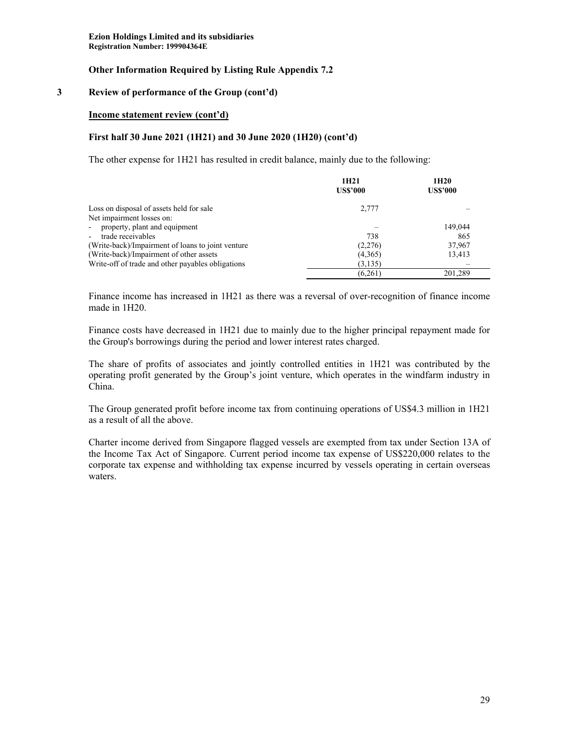#### **3 Review of performance of the Group (cont'd)**

#### **Income statement review (cont'd)**

#### **First half 30 June 2021 (1H21) and 30 June 2020 (1H20) (cont'd)**

The other expense for 1H21 has resulted in credit balance, mainly due to the following:

|                                                   | 1H <sub>21</sub><br><b>US\$'000</b> | 1H <sub>20</sub><br><b>US\$'000</b> |
|---------------------------------------------------|-------------------------------------|-------------------------------------|
| Loss on disposal of assets held for sale          | 2,777                               |                                     |
| Net impairment losses on:                         |                                     |                                     |
| - property, plant and equipment                   |                                     | 149,044                             |
| trade receivables<br>$\sim$                       | 738                                 | 865                                 |
| (Write-back)/Impairment of loans to joint venture | (2,276)                             | 37,967                              |
| (Write-back)/Impairment of other assets           | (4,365)                             | 13,413                              |
| Write-off of trade and other payables obligations | (3, 135)                            |                                     |
|                                                   | (6,261)                             | 201.289                             |

Finance income has increased in 1H21 as there was a reversal of over-recognition of finance income made in 1H20.

Finance costs have decreased in 1H21 due to mainly due to the higher principal repayment made for the Group's borrowings during the period and lower interest rates charged.

The share of profits of associates and jointly controlled entities in 1H21 was contributed by the operating profit generated by the Group's joint venture, which operates in the windfarm industry in China.

The Group generated profit before income tax from continuing operations of US\$4.3 million in 1H21 as a result of all the above.

Charter income derived from Singapore flagged vessels are exempted from tax under Section 13A of the Income Tax Act of Singapore. Current period income tax expense of US\$220,000 relates to the corporate tax expense and withholding tax expense incurred by vessels operating in certain overseas waters.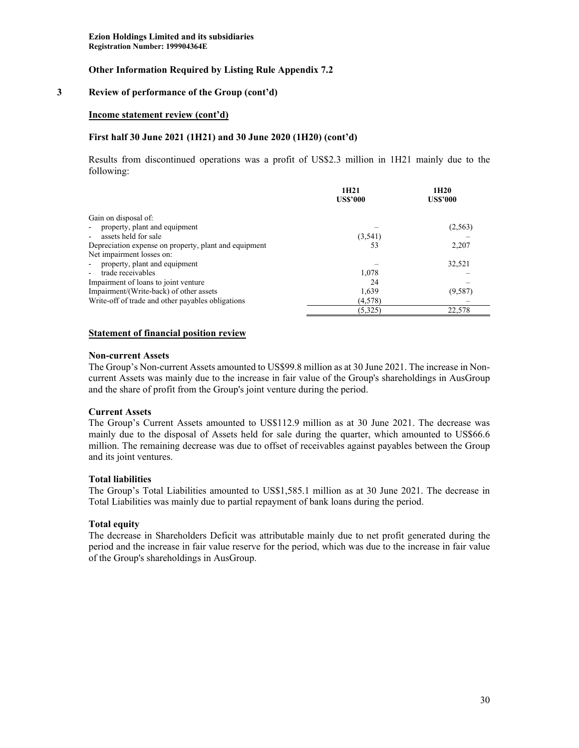#### **3 Review of performance of the Group (cont'd)**

#### **Income statement review (cont'd)**

#### **First half 30 June 2021 (1H21) and 30 June 2020 (1H20) (cont'd)**

Results from discontinued operations was a profit of US\$2.3 million in 1H21 mainly due to the following:

|                                                       | 1H <sub>21</sub><br><b>US\$'000</b> | 1H <sub>20</sub><br><b>US\$'000</b> |
|-------------------------------------------------------|-------------------------------------|-------------------------------------|
|                                                       |                                     |                                     |
| Gain on disposal of:                                  |                                     |                                     |
| property, plant and equipment                         |                                     | (2, 563)                            |
| assets held for sale                                  | (3, 541)                            |                                     |
| Depreciation expense on property, plant and equipment | 53                                  | 2,207                               |
| Net impairment losses on:                             |                                     |                                     |
| property, plant and equipment                         |                                     | 32,521                              |
| trade receivables<br>$\blacksquare$                   | 1,078                               |                                     |
| Impairment of loans to joint venture                  | 24                                  |                                     |
| Impairment/(Write-back) of other assets               | 1,639                               | (9, 587)                            |
| Write-off of trade and other payables obligations     | (4,578)                             |                                     |
|                                                       | (5,325)                             | 22.578                              |

#### **Statement of financial position review**

#### **Non-current Assets**

The Group's Non-current Assets amounted to US\$99.8 million as at 30 June 2021. The increase in Noncurrent Assets was mainly due to the increase in fair value of the Group's shareholdings in AusGroup and the share of profit from the Group's joint venture during the period.

#### **Current Assets**

The Group's Current Assets amounted to US\$112.9 million as at 30 June 2021. The decrease was mainly due to the disposal of Assets held for sale during the quarter, which amounted to US\$66.6 million. The remaining decrease was due to offset of receivables against payables between the Group and its joint ventures.

### **Total liabilities**

The Group's Total Liabilities amounted to US\$1,585.1 million as at 30 June 2021. The decrease in Total Liabilities was mainly due to partial repayment of bank loans during the period.

# **Total equity**

The decrease in Shareholders Deficit was attributable mainly due to net profit generated during the period and the increase in fair value reserve for the period, which was due to the increase in fair value of the Group's shareholdings in AusGroup.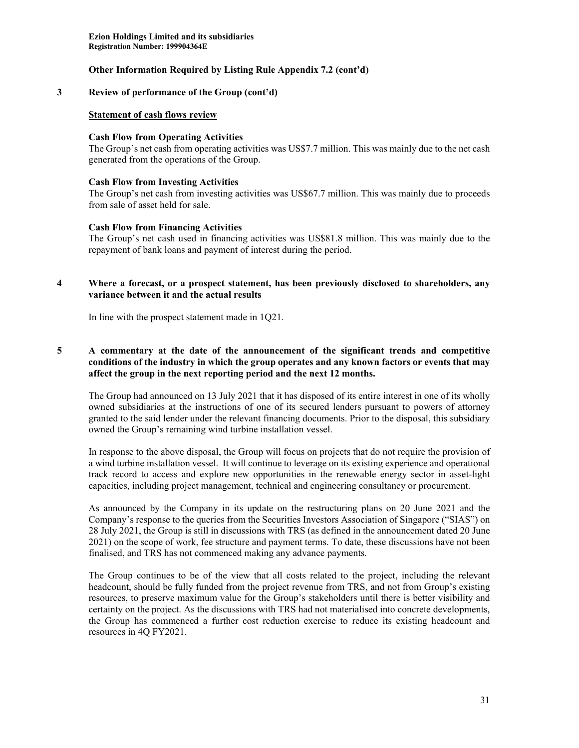#### **3 Review of performance of the Group (cont'd)**

#### **Statement of cash flows review**

#### **Cash Flow from Operating Activities**

The Group's net cash from operating activities was US\$7.7 million. This was mainly due to the net cash generated from the operations of the Group.

#### **Cash Flow from Investing Activities**

The Group's net cash from investing activities was US\$67.7 million. This was mainly due to proceeds from sale of asset held for sale.

#### **Cash Flow from Financing Activities**

The Group's net cash used in financing activities was US\$81.8 million. This was mainly due to the repayment of bank loans and payment of interest during the period.

### **4 Where a forecast, or a prospect statement, has been previously disclosed to shareholders, any variance between it and the actual results**

In line with the prospect statement made in 1Q21.

# **5 A commentary at the date of the announcement of the significant trends and competitive conditions of the industry in which the group operates and any known factors or events that may affect the group in the next reporting period and the next 12 months.**

The Group had announced on 13 July 2021 that it has disposed of its entire interest in one of its wholly owned subsidiaries at the instructions of one of its secured lenders pursuant to powers of attorney granted to the said lender under the relevant financing documents. Prior to the disposal, this subsidiary owned the Group's remaining wind turbine installation vessel.

In response to the above disposal, the Group will focus on projects that do not require the provision of a wind turbine installation vessel. It will continue to leverage on its existing experience and operational track record to access and explore new opportunities in the renewable energy sector in asset-light capacities, including project management, technical and engineering consultancy or procurement.

As announced by the Company in its update on the restructuring plans on 20 June 2021 and the Company's response to the queries from the Securities Investors Association of Singapore ("SIAS") on 28 July 2021, the Group is still in discussions with TRS (as defined in the announcement dated 20 June 2021) on the scope of work, fee structure and payment terms. To date, these discussions have not been finalised, and TRS has not commenced making any advance payments.

The Group continues to be of the view that all costs related to the project, including the relevant headcount, should be fully funded from the project revenue from TRS, and not from Group's existing resources, to preserve maximum value for the Group's stakeholders until there is better visibility and certainty on the project. As the discussions with TRS had not materialised into concrete developments, the Group has commenced a further cost reduction exercise to reduce its existing headcount and resources in 4Q FY2021.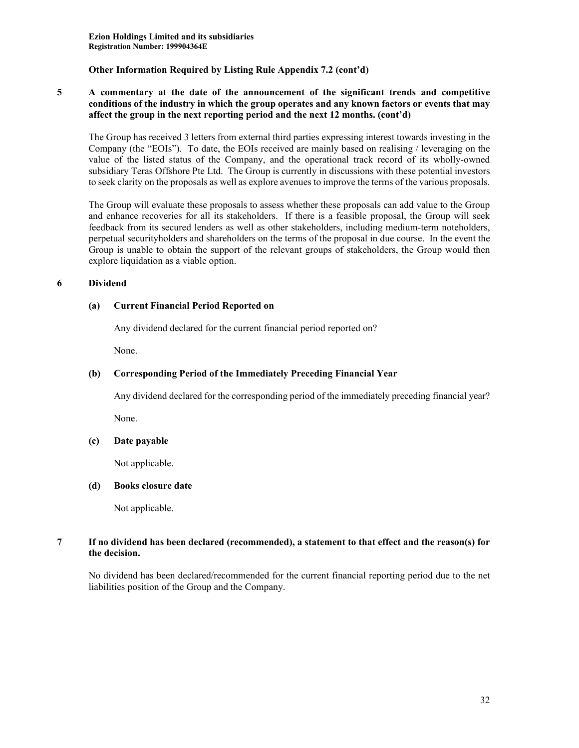### **5 A commentary at the date of the announcement of the significant trends and competitive conditions of the industry in which the group operates and any known factors or events that may affect the group in the next reporting period and the next 12 months. (cont'd)**

The Group has received 3 letters from external third parties expressing interest towards investing in the Company (the "EOIs"). To date, the EOIs received are mainly based on realising / leveraging on the value of the listed status of the Company, and the operational track record of its wholly-owned subsidiary Teras Offshore Pte Ltd. The Group is currently in discussions with these potential investors to seek clarity on the proposals as well as explore avenues to improve the terms of the various proposals.

The Group will evaluate these proposals to assess whether these proposals can add value to the Group and enhance recoveries for all its stakeholders. If there is a feasible proposal, the Group will seek feedback from its secured lenders as well as other stakeholders, including medium-term noteholders, perpetual securityholders and shareholders on the terms of the proposal in due course. In the event the Group is unable to obtain the support of the relevant groups of stakeholders, the Group would then explore liquidation as a viable option.

# **6 Dividend**

# **(a) Current Financial Period Reported on**

Any dividend declared for the current financial period reported on?

None.

# **(b) Corresponding Period of the Immediately Preceding Financial Year**

Any dividend declared for the corresponding period of the immediately preceding financial year?

None.

### **(c) Date payable**

Not applicable.

### **(d) Books closure date**

Not applicable.

# **7 If no dividend has been declared (recommended), a statement to that effect and the reason(s) for the decision.**

No dividend has been declared/recommended for the current financial reporting period due to the net liabilities position of the Group and the Company.